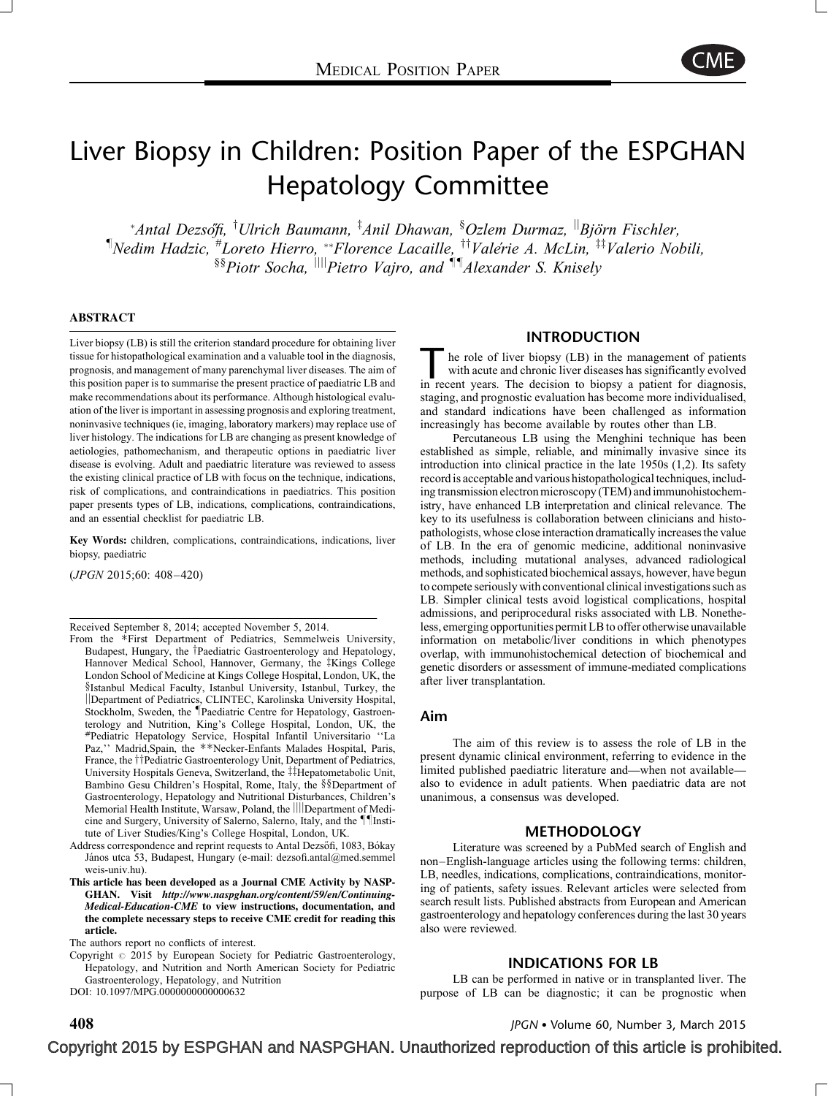

# Liver Biopsy in Children: Position Paper of the ESPGHAN Hepatology Committee

\*Antal Dezso"fi, <sup>†</sup>Ulrich Baumann, <sup>‡</sup>Anil Dhawan, <sup>§</sup>Ozlem Durmaz, <sup>||</sup>Björn Fischler,  $\P$ Nedim Hadzic,  $^{\#}$ Loreto Hierro, \*\*Florence Lacaille,  $^{\dagger\dagger}$ Vale<sup>r</sup>ie A. McLin,  $^{\ddagger\dagger}$ Valerio Nobili, §§Piotr Socha, <sup>||||</sup>Pietro Vajro, and <sup>¶¶</sup>Alexander S. Knisely

#### ABSTRACT

Liver biopsy (LB) is still the criterion standard procedure for obtaining liver tissue for histopathological examination and a valuable tool in the diagnosis, prognosis, and management of many parenchymal liver diseases. The aim of this position paper is to summarise the present practice of paediatric LB and make recommendations about its performance. Although histological evaluation of the liver is important in assessing prognosis and exploring treatment, noninvasive techniques (ie, imaging, laboratory markers) may replace use of liver histology. The indications for LB are changing as present knowledge of aetiologies, pathomechanism, and therapeutic options in paediatric liver disease is evolving. Adult and paediatric literature was reviewed to assess the existing clinical practice of LB with focus on the technique, indications, risk of complications, and contraindications in paediatrics. This position paper presents types of LB, indications, complications, contraindications, and an essential checklist for paediatric LB.

Key Words: children, complications, contraindications, indications, liver biopsy, paediatric

(JPGN 2015;60: 408–420)

Received September 8, 2014; accepted November 5, 2014.

- From the \*First Department of Pediatrics, Semmelweis University, Budapest, Hungary, the †Paediatric Gastroenterology and Hepatology, Hannover Medical School, Hannover, Germany, the <sup>‡</sup>Kings College London School of Medicine at Kings College Hospital, London, UK, the §Istanbul Medical Faculty, Istanbul University, Istanbul, Turkey, the ||Department of Pediatrics, CLINTEC, Karolinska University Hospital, Stockholm, Sweden, the Paediatric Centre for Hepatology, Gastroenterology and Nutrition, King's College Hospital, London, UK, the *#*Pediatric Hepatology Service, Hospital Infantil Universitario ''La Paz," Madrid,Spain, the \*\*Necker-Enfants Malades Hospital, Paris, France, the *TPediatric Gastroenterology Unit*, Department of Pediatrics, University Hospitals Geneva, Switzerland, the ##Hepatometabolic Unit, Bambino Gesu Children's Hospital, Rome, Italy, the §§Department of Gastroenterology, Hepatology and Nutritional Disturbances, Children's Memorial Health Institute, Warsaw, Poland, the ||||Department of Medicine and Surgery, University of Salerno, Salerno, Italy, and the *IInsti*tute of Liver Studies/King's College Hospital, London, UK.
- Address correspondence and reprint requests to Antal Dezsőfi, 1083, Bókay János utca 53, Budapest, Hungary (e-mail: [dezsofi.antal@med.semmel](mailto:dezsofi.antal@med.semmelweis-univ.hu) [weis-univ.hu\)](mailto:dezsofi.antal@med.semmelweis-univ.hu).
- This article has been developed as a Journal CME Activity by NASP-GHAN. Visit [http://www.naspghan.org/content/59/en/Continuing-](http://www.naspghan.org/content/59/en/Continuing-Medical-Education-CME)[Medical-Education-CME](http://www.naspghan.org/content/59/en/Continuing-Medical-Education-CME) to view instructions, documentation, and the complete necessary steps to receive CME credit for reading this article.

Copyright  $\circ$  2015 by European Society for Pediatric Gastroenterology, Hepatology, and Nutrition and North American Society for Pediatric Gastroenterology, Hepatology, and Nutrition

DOI: [10.1097/MPG.0000000000000632](http://dx.doi.org/10.1097/MPG.0000000000000632)

#### INTRODUCTION

The role of liver biopsy (LB) in the management of patients<br>with acute and chronic liver diseases has significantly evolved<br>in recent years. The decision to biopsy a patient for diagnosis, with acute and chronic liver diseases has significantly evolved staging, and prognostic evaluation has become more individualised, and standard indications have been challenged as information increasingly has become available by routes other than LB.

Percutaneous LB using the Menghini technique has been established as simple, reliable, and minimally invasive since its introduction into clinical practice in the late 1950s [\(1,2\).](#page-9-0) Its safety record is acceptable and various histopathological techniques, including transmission electron microscopy (TEM) and immunohistochemistry, have enhanced LB interpretation and clinical relevance. The key to its usefulness is collaboration between clinicians and histopathologists, whose close interaction dramatically increases the value of LB. In the era of genomic medicine, additional noninvasive methods, including mutational analyses, advanced radiological methods, and sophisticated biochemical assays, however, have begun to compete seriously with conventional clinical investigations such as LB. Simpler clinical tests avoid logistical complications, hospital admissions, and periprocedural risks associated with LB. Nonetheless, emerging opportunities permit LB to offer otherwise unavailable information on metabolic/liver conditions in which phenotypes overlap, with immunohistochemical detection of biochemical and genetic disorders or assessment of immune-mediated complications after liver transplantation.

#### Aim

The aim of this review is to assess the role of LB in the present dynamic clinical environment, referring to evidence in the limited published paediatric literature and—when not available also to evidence in adult patients. When paediatric data are not unanimous, a consensus was developed.

#### **METHODOLOGY**

Literature was screened by a PubMed search of English and non–English-language articles using the following terms: children, LB, needles, indications, complications, contraindications, monitoring of patients, safety issues. Relevant articles were selected from search result lists. Published abstracts from European and American gastroenterology and hepatology conferences during the last 30 years also were reviewed.

#### INDICATIONS FOR LB

LB can be performed in native or in transplanted liver. The purpose of LB can be diagnostic; it can be prognostic when

 $408$  JPGN  $\cdot$ JPGN • Volume 60, Number 3, March 2015

The authors report no conflicts of interest.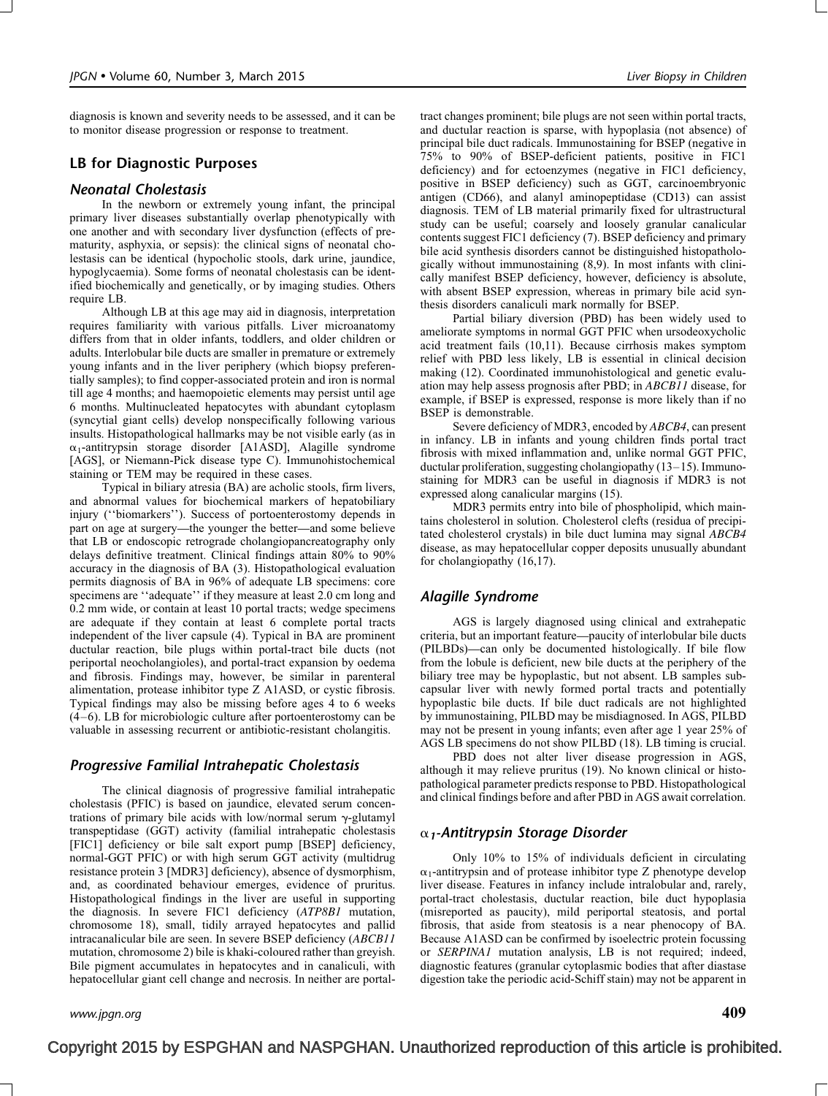diagnosis is known and severity needs to be assessed, and it can be to monitor disease progression or response to treatment.

#### LB for Diagnostic Purposes

#### Neonatal Cholestasis

In the newborn or extremely young infant, the principal primary liver diseases substantially overlap phenotypically with one another and with secondary liver dysfunction (effects of prematurity, asphyxia, or sepsis): the clinical signs of neonatal cholestasis can be identical (hypocholic stools, dark urine, jaundice, hypoglycaemia). Some forms of neonatal cholestasis can be identified biochemically and genetically, or by imaging studies. Others require LB.

Although LB at this age may aid in diagnosis, interpretation requires familiarity with various pitfalls. Liver microanatomy differs from that in older infants, toddlers, and older children or adults. Interlobular bile ducts are smaller in premature or extremely young infants and in the liver periphery (which biopsy preferentially samples); to find copper-associated protein and iron is normal till age 4 months; and haemopoietic elements may persist until age 6 months. Multinucleated hepatocytes with abundant cytoplasm (syncytial giant cells) develop nonspecifically following various insults. Histopathological hallmarks may be not visible early (as in  $\alpha_1$ -antitrypsin storage disorder [A1ASD], Alagille syndrome [AGS], or Niemann-Pick disease type C). Immunohistochemical staining or TEM may be required in these cases.

Typical in biliary atresia (BA) are acholic stools, firm livers, and abnormal values for biochemical markers of hepatobiliary injury (''biomarkers''). Success of portoenterostomy depends in part on age at surgery—the younger the better—and some believe that LB or endoscopic retrograde cholangiopancreatography only delays definitive treatment. Clinical findings attain 80% to 90% accuracy in the diagnosis of BA [\(3\).](#page-9-0) Histopathological evaluation permits diagnosis of BA in 96% of adequate LB specimens: core specimens are ''adequate'' if they measure at least 2.0 cm long and 0.2 mm wide, or contain at least 10 portal tracts; wedge specimens are adequate if they contain at least 6 complete portal tracts independent of the liver capsule [\(4\)](#page-9-0). Typical in BA are prominent ductular reaction, bile plugs within portal-tract bile ducts (not periportal neocholangioles), and portal-tract expansion by oedema and fibrosis. Findings may, however, be similar in parenteral alimentation, protease inhibitor type Z A1ASD, or cystic fibrosis. Typical findings may also be missing before ages 4 to 6 weeks [\(4–6\)](#page-9-0). LB for microbiologic culture after portoenterostomy can be valuable in assessing recurrent or antibiotic-resistant cholangitis.

#### Progressive Familial Intrahepatic Cholestasis

The clinical diagnosis of progressive familial intrahepatic cholestasis (PFIC) is based on jaundice, elevated serum concentrations of primary bile acids with low/normal serum  $\gamma$ -glutamyl transpeptidase (GGT) activity (familial intrahepatic cholestasis [FIC1] deficiency or bile salt export pump [BSEP] deficiency, normal-GGT PFIC) or with high serum GGT activity (multidrug resistance protein 3 [MDR3] deficiency), absence of dysmorphism, and, as coordinated behaviour emerges, evidence of pruritus. Histopathological findings in the liver are useful in supporting the diagnosis. In severe FIC1 deficiency (ATP8B1 mutation, chromosome 18), small, tidily arrayed hepatocytes and pallid intracanalicular bile are seen. In severe BSEP deficiency (ABCB11 mutation, chromosome 2) bile is khaki-coloured rather than greyish. Bile pigment accumulates in hepatocytes and in canaliculi, with hepatocellular giant cell change and necrosis. In neither are portal-

www.jpgn.org  $409$ 

tract changes prominent; bile plugs are not seen within portal tracts, and ductular reaction is sparse, with hypoplasia (not absence) of principal bile duct radicals. Immunostaining for BSEP (negative in 75% to 90% of BSEP-deficient patients, positive in FIC1 deficiency) and for ectoenzymes (negative in FIC1 deficiency, positive in BSEP deficiency) such as GGT, carcinoembryonic antigen (CD66), and alanyl aminopeptidase (CD13) can assist diagnosis. TEM of LB material primarily fixed for ultrastructural study can be useful; coarsely and loosely granular canalicular contents suggest FIC1 deficiency [\(7\)](#page-9-0). BSEP deficiency and primary bile acid synthesis disorders cannot be distinguished histopathologically without immunostaining [\(8,9\)](#page-9-0). In most infants with clinically manifest BSEP deficiency, however, deficiency is absolute, with absent BSEP expression, whereas in primary bile acid synthesis disorders canaliculi mark normally for BSEP.

Partial biliary diversion (PBD) has been widely used to ameliorate symptoms in normal GGT PFIC when ursodeoxycholic acid treatment fails [\(10,11\)](#page-9-0). Because cirrhosis makes symptom relief with PBD less likely, LB is essential in clinical decision making [\(12\).](#page-9-0) Coordinated immunohistological and genetic evaluation may help assess prognosis after PBD; in ABCB11 disease, for example, if BSEP is expressed, response is more likely than if no BSEP is demonstrable.

Severe deficiency of MDR3, encoded by ABCB4, can present in infancy. LB in infants and young children finds portal tract fibrosis with mixed inflammation and, unlike normal GGT PFIC, ductular proliferation, suggesting cholangiopathy [\(13–15\).](#page-9-0) Immunostaining for MDR3 can be useful in diagnosis if MDR3 is not expressed along canalicular margins [\(15\)](#page-9-0).

MDR3 permits entry into bile of phospholipid, which maintains cholesterol in solution. Cholesterol clefts (residua of precipitated cholesterol crystals) in bile duct lumina may signal ABCB4 disease, as may hepatocellular copper deposits unusually abundant for cholangiopathy [\(16,17\).](#page-9-0)

#### Alagille Syndrome

AGS is largely diagnosed using clinical and extrahepatic criteria, but an important feature—paucity of interlobular bile ducts (PILBDs)—can only be documented histologically. If bile flow from the lobule is deficient, new bile ducts at the periphery of the biliary tree may be hypoplastic, but not absent. LB samples subcapsular liver with newly formed portal tracts and potentially hypoplastic bile ducts. If bile duct radicals are not highlighted by immunostaining, PILBD may be misdiagnosed. In AGS, PILBD may not be present in young infants; even after age 1 year 25% of AGS LB specimens do not show PILBD [\(18\).](#page-9-0) LB timing is crucial.

PBD does not alter liver disease progression in AGS, although it may relieve pruritus [\(19\).](#page-9-0) No known clinical or histopathological parameter predicts response to PBD. Histopathological and clinical findings before and after PBD in AGS await correlation.

#### $\alpha_1$ -Antitrypsin Storage Disorder

Only 10% to 15% of individuals deficient in circulating  $\alpha_1$ -antitrypsin and of protease inhibitor type Z phenotype develop liver disease. Features in infancy include intralobular and, rarely, portal-tract cholestasis, ductular reaction, bile duct hypoplasia (misreported as paucity), mild periportal steatosis, and portal fibrosis, that aside from steatosis is a near phenocopy of BA. Because A1ASD can be confirmed by isoelectric protein focussing or SERPINA1 mutation analysis, LB is not required; indeed, diagnostic features (granular cytoplasmic bodies that after diastase digestion take the periodic acid-Schiff stain) may not be apparent in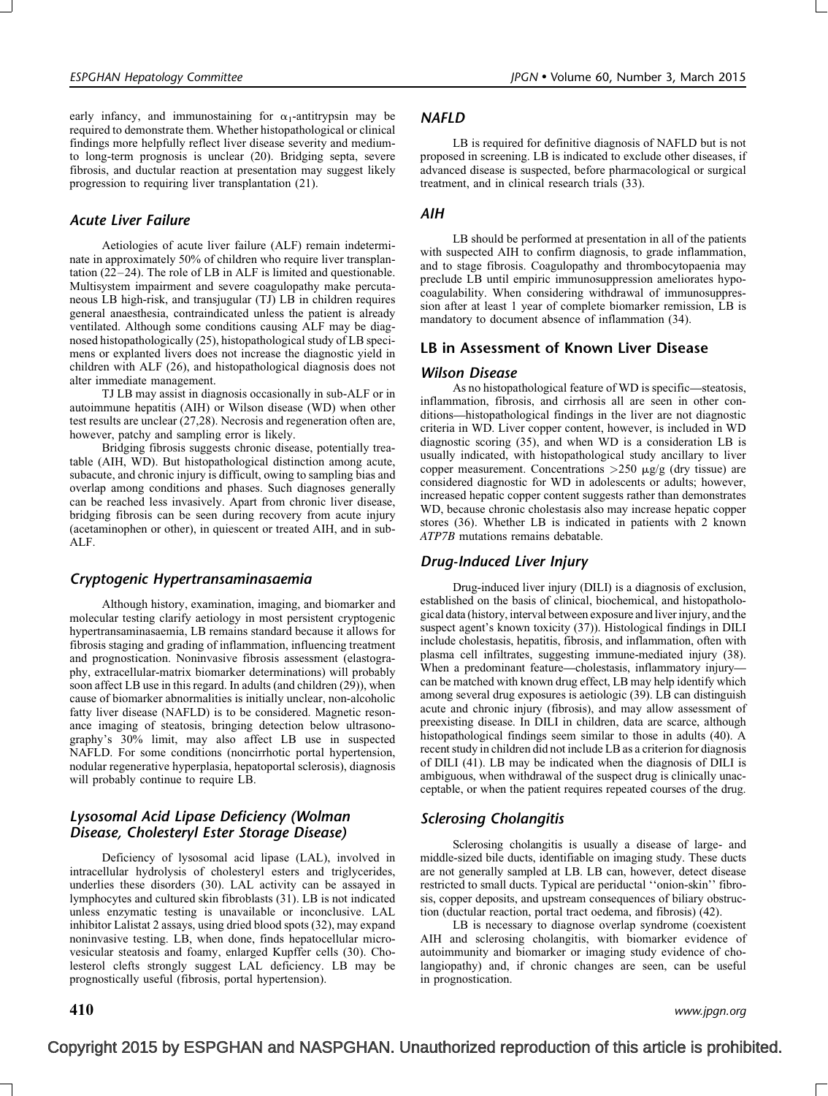early infancy, and immunostaining for  $\alpha_1$ -antitrypsin may be required to demonstrate them. Whether histopathological or clinical findings more helpfully reflect liver disease severity and mediumto long-term prognosis is unclear [\(20\).](#page-9-0) Bridging septa, severe fibrosis, and ductular reaction at presentation may suggest likely progression to requiring liver transplantation [\(21\).](#page-9-0)

#### Acute Liver Failure

Aetiologies of acute liver failure (ALF) remain indeterminate in approximately 50% of children who require liver transplantation [\(22–24\).](#page-9-0) The role of LB in ALF is limited and questionable. Multisystem impairment and severe coagulopathy make percutaneous LB high-risk, and transjugular (TJ) LB in children requires general anaesthesia, contraindicated unless the patient is already ventilated. Although some conditions causing ALF may be diagnosed histopathologically [\(25\)](#page-9-0), histopathological study of LB specimens or explanted livers does not increase the diagnostic yield in children with ALF [\(26\),](#page-9-0) and histopathological diagnosis does not alter immediate management.

TJ LB may assist in diagnosis occasionally in sub-ALF or in autoimmune hepatitis (AIH) or Wilson disease (WD) when other test results are unclear [\(27,28\).](#page-9-0) Necrosis and regeneration often are, however, patchy and sampling error is likely.

Bridging fibrosis suggests chronic disease, potentially treatable (AIH, WD). But histopathological distinction among acute, subacute, and chronic injury is difficult, owing to sampling bias and overlap among conditions and phases. Such diagnoses generally can be reached less invasively. Apart from chronic liver disease, bridging fibrosis can be seen during recovery from acute injury (acetaminophen or other), in quiescent or treated AIH, and in sub-ALF.

#### Cryptogenic Hypertransaminasaemia

Although history, examination, imaging, and biomarker and molecular testing clarify aetiology in most persistent cryptogenic hypertransaminasaemia, LB remains standard because it allows for fibrosis staging and grading of inflammation, influencing treatment and prognostication. Noninvasive fibrosis assessment (elastography, extracellular-matrix biomarker determinations) will probably soon affect LB use in this regard. In adults (and children [\(29\)\)](#page-10-0), when cause of biomarker abnormalities is initially unclear, non-alcoholic fatty liver disease (NAFLD) is to be considered. Magnetic resonance imaging of steatosis, bringing detection below ultrasonography's 30% limit, may also affect LB use in suspected NAFLD. For some conditions (noncirrhotic portal hypertension, nodular regenerative hyperplasia, hepatoportal sclerosis), diagnosis will probably continue to require LB.

#### Lysosomal Acid Lipase Deficiency (Wolman Disease, Cholesteryl Ester Storage Disease)

Deficiency of lysosomal acid lipase (LAL), involved in intracellular hydrolysis of cholesteryl esters and triglycerides, underlies these disorders [\(30\)](#page-10-0). LAL activity can be assayed in lymphocytes and cultured skin fibroblasts [\(31\).](#page-10-0) LB is not indicated unless enzymatic testing is unavailable or inconclusive. LAL inhibitor Lalistat 2 assays, using dried blood spots [\(32\),](#page-10-0) may expand noninvasive testing. LB, when done, finds hepatocellular microvesicular steatosis and foamy, enlarged Kupffer cells [\(30\)](#page-10-0). Cholesterol clefts strongly suggest LAL deficiency. LB may be prognostically useful (fibrosis, portal hypertension).

#### NAFLD

LB is required for definitive diagnosis of NAFLD but is not proposed in screening. LB is indicated to exclude other diseases, if advanced disease is suspected, before pharmacological or surgical treatment, and in clinical research trials [\(33\)](#page-10-0).

#### AIH

LB should be performed at presentation in all of the patients with suspected AIH to confirm diagnosis, to grade inflammation, and to stage fibrosis. Coagulopathy and thrombocytopaenia may preclude LB until empiric immunosuppression ameliorates hypocoagulability. When considering withdrawal of immunosuppression after at least 1 year of complete biomarker remission, LB is mandatory to document absence of inflammation [\(34\).](#page-10-0)

#### LB in Assessment of Known Liver Disease

#### Wilson Disease

As no histopathological feature of WD is specific—steatosis, inflammation, fibrosis, and cirrhosis all are seen in other conditions—histopathological findings in the liver are not diagnostic criteria in WD. Liver copper content, however, is included in WD diagnostic scoring [\(35\)](#page-10-0), and when WD is a consideration LB is usually indicated, with histopathological study ancillary to liver copper measurement. Concentrations  $>250 \mu g/g$  (dry tissue) are considered diagnostic for WD in adolescents or adults; however, increased hepatic copper content suggests rather than demonstrates WD, because chronic cholestasis also may increase hepatic copper stores [\(36\).](#page-10-0) Whether LB is indicated in patients with 2 known ATP7B mutations remains debatable.

#### Drug-Induced Liver Injury

Drug-induced liver injury (DILI) is a diagnosis of exclusion, established on the basis of clinical, biochemical, and histopathological data (history, interval between exposure and liver injury, and the suspect agent's known toxicity [\(37\)\)](#page-10-0). Histological findings in DILI include cholestasis, hepatitis, fibrosis, and inflammation, often with plasma cell infiltrates, suggesting immune-mediated injury [\(38\)](#page-10-0). When a predominant feature—cholestasis, inflammatory injurycan be matched with known drug effect, LB may help identify which among several drug exposures is aetiologic [\(39\)](#page-10-0). LB can distinguish acute and chronic injury (fibrosis), and may allow assessment of preexisting disease. In DILI in children, data are scarce, although histopathological findings seem similar to those in adults [\(40\)](#page-10-0). A recent study in children did not include LB as a criterion for diagnosis of DILI [\(41\)](#page-10-0). LB may be indicated when the diagnosis of DILI is ambiguous, when withdrawal of the suspect drug is clinically unacceptable, or when the patient requires repeated courses of the drug.

#### Sclerosing Cholangitis

Sclerosing cholangitis is usually a disease of large- and middle-sized bile ducts, identifiable on imaging study. These ducts are not generally sampled at LB. LB can, however, detect disease restricted to small ducts. Typical are periductal ''onion-skin'' fibrosis, copper deposits, and upstream consequences of biliary obstruction (ductular reaction, portal tract oedema, and fibrosis) [\(42\).](#page-10-0)

LB is necessary to diagnose overlap syndrome (coexistent AIH and sclerosing cholangitis, with biomarker evidence of autoimmunity and biomarker or imaging study evidence of cholangiopathy) and, if chronic changes are seen, can be useful in prognostication.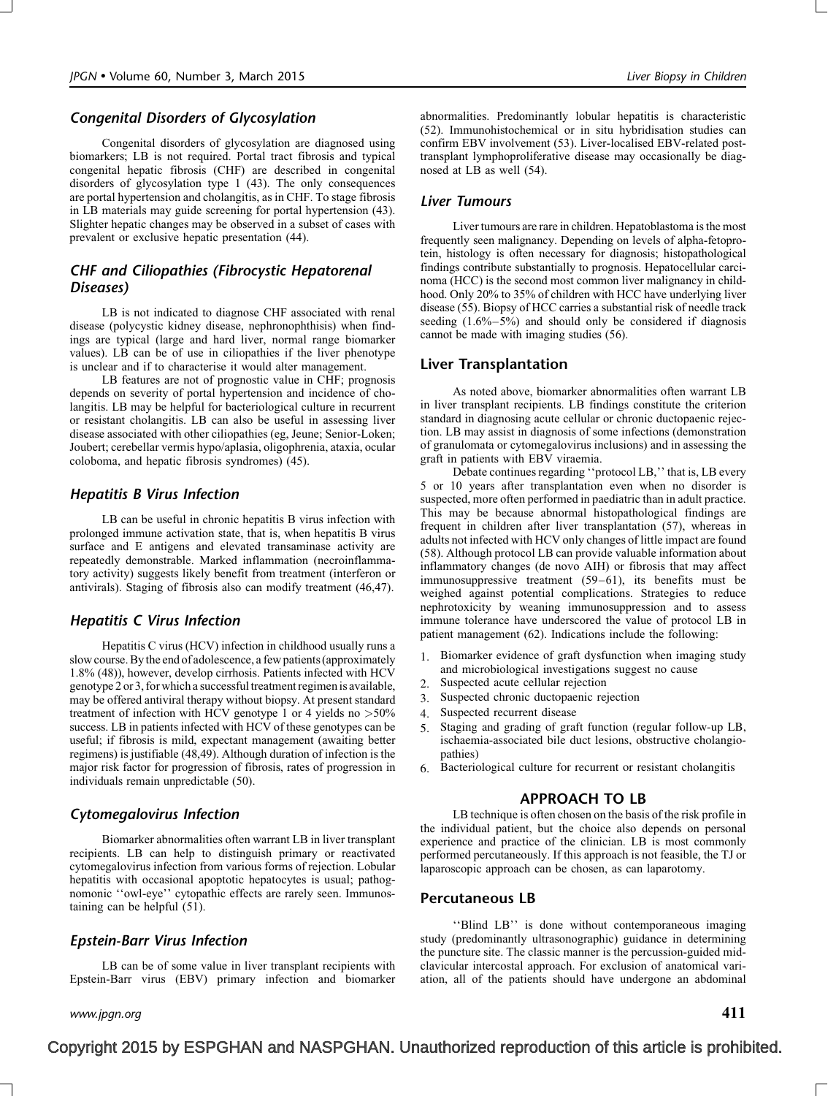#### Congenital Disorders of Glycosylation

Congenital disorders of glycosylation are diagnosed using biomarkers; LB is not required. Portal tract fibrosis and typical congenital hepatic fibrosis (CHF) are described in congenital disorders of glycosylation type 1 [\(43\)](#page-10-0). The only consequences are portal hypertension and cholangitis, as in CHF. To stage fibrosis in LB materials may guide screening for portal hypertension [\(43\).](#page-10-0) Slighter hepatic changes may be observed in a subset of cases with prevalent or exclusive hepatic presentation [\(44\)](#page-10-0).

#### CHF and Ciliopathies (Fibrocystic Hepatorenal Diseases)

LB is not indicated to diagnose CHF associated with renal disease (polycystic kidney disease, nephronophthisis) when findings are typical (large and hard liver, normal range biomarker values). LB can be of use in ciliopathies if the liver phenotype is unclear and if to characterise it would alter management.

LB features are not of prognostic value in CHF; prognosis depends on severity of portal hypertension and incidence of cholangitis. LB may be helpful for bacteriological culture in recurrent or resistant cholangitis. LB can also be useful in assessing liver disease associated with other ciliopathies (eg, Jeune; Senior-Loken; Joubert; cerebellar vermis hypo/aplasia, oligophrenia, ataxia, ocular coloboma, and hepatic fibrosis syndromes) [\(45\)](#page-10-0).

#### Hepatitis B Virus Infection

LB can be useful in chronic hepatitis B virus infection with prolonged immune activation state, that is, when hepatitis B virus surface and E antigens and elevated transaminase activity are repeatedly demonstrable. Marked inflammation (necroinflammatory activity) suggests likely benefit from treatment (interferon or antivirals). Staging of fibrosis also can modify treatment [\(46,47\).](#page-10-0)

#### Hepatitis C Virus Infection

Hepatitis C virus (HCV) infection in childhood usually runs a slow course. By the end of adolescence, a few patients (approximately 1.8% [\(48\)\)](#page-10-0), however, develop cirrhosis. Patients infected with HCV genotype 2 or 3, for which a successful treatment regimen is available, may be offered antiviral therapy without biopsy. At present standard treatment of infection with HCV genotype 1 or 4 yields no >50% success. LB in patients infected with HCV of these genotypes can be useful; if fibrosis is mild, expectant management (awaiting better regimens) is justifiable [\(48,49\)](#page-10-0). Although duration of infection is the major risk factor for progression of fibrosis, rates of progression in individuals remain unpredictable [\(50\)](#page-10-0).

#### Cytomegalovirus Infection

Biomarker abnormalities often warrant LB in liver transplant recipients. LB can help to distinguish primary or reactivated cytomegalovirus infection from various forms of rejection. Lobular hepatitis with occasional apoptotic hepatocytes is usual; pathognomonic ''owl-eye'' cytopathic effects are rarely seen. Immunostaining can be helpful [\(51\).](#page-10-0)

#### Epstein-Barr Virus Infection

LB can be of some value in liver transplant recipients with Epstein-Barr virus (EBV) primary infection and biomarker

www.jpgn.org  $411$ 

abnormalities. Predominantly lobular hepatitis is characteristic [\(52\)](#page-10-0). Immunohistochemical or in situ hybridisation studies can confirm EBV involvement [\(53\)](#page-10-0). Liver-localised EBV-related posttransplant lymphoproliferative disease may occasionally be diagnosed at LB as well [\(54\)](#page-10-0).

#### Liver Tumours

Liver tumours are rare in children. Hepatoblastoma is the most frequently seen malignancy. Depending on levels of alpha-fetoprotein, histology is often necessary for diagnosis; histopathological findings contribute substantially to prognosis. Hepatocellular carcinoma (HCC) is the second most common liver malignancy in childhood. Only 20% to 35% of children with HCC have underlying liver disease [\(55\).](#page-10-0) Biopsy of HCC carries a substantial risk of needle track seeding  $(1.6\% - 5\%)$  and should only be considered if diagnosis cannot be made with imaging studies [\(56\)](#page-10-0).

#### Liver Transplantation

As noted above, biomarker abnormalities often warrant LB in liver transplant recipients. LB findings constitute the criterion standard in diagnosing acute cellular or chronic ductopaenic rejection. LB may assist in diagnosis of some infections (demonstration of granulomata or cytomegalovirus inclusions) and in assessing the graft in patients with EBV viraemia.

Debate continues regarding ''protocol LB,'' that is, LB every 5 or 10 years after transplantation even when no disorder is suspected, more often performed in paediatric than in adult practice. This may be because abnormal histopathological findings are frequent in children after liver transplantation [\(57\)](#page-10-0), whereas in adults not infected with HCV only changes of little impact are found [\(58\)](#page-10-0). Although protocol LB can provide valuable information about inflammatory changes (de novo AIH) or fibrosis that may affect immunosuppressive treatment [\(59–61\),](#page-10-0) its benefits must be weighed against potential complications. Strategies to reduce nephrotoxicity by weaning immunosuppression and to assess immune tolerance have underscored the value of protocol LB in patient management [\(62\)](#page-10-0). Indications include the following:

- 1. Biomarker evidence of graft dysfunction when imaging study and microbiological investigations suggest no cause
- 2. Suspected acute cellular rejection
- 3. Suspected chronic ductopaenic rejection
- 4. Suspected recurrent disease
- 5. Staging and grading of graft function (regular follow-up LB, ischaemia-associated bile duct lesions, obstructive cholangiopathies)
- 6. Bacteriological culture for recurrent or resistant cholangitis

#### APPROACH TO LB

LB technique is often chosen on the basis of the risk profile in the individual patient, but the choice also depends on personal experience and practice of the clinician. LB is most commonly performed percutaneously. If this approach is not feasible, the TJ or laparoscopic approach can be chosen, as can laparotomy.

#### Percutaneous LB

''Blind LB'' is done without contemporaneous imaging study (predominantly ultrasonographic) guidance in determining the puncture site. The classic manner is the percussion-guided midclavicular intercostal approach. For exclusion of anatomical variation, all of the patients should have undergone an abdominal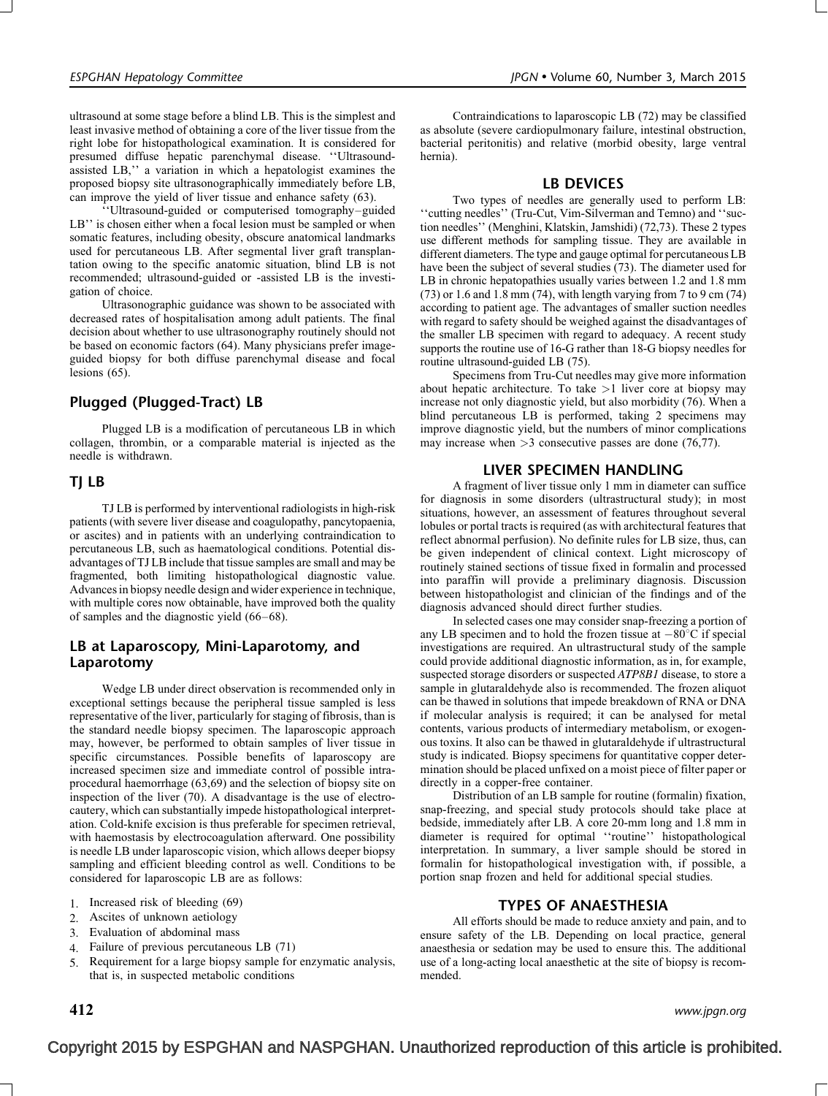ultrasound at some stage before a blind LB. This is the simplest and least invasive method of obtaining a core of the liver tissue from the right lobe for histopathological examination. It is considered for presumed diffuse hepatic parenchymal disease. ''Ultrasoundassisted LB,'' a variation in which a hepatologist examines the proposed biopsy site ultrasonographically immediately before LB, can improve the yield of liver tissue and enhance safety [\(63\).](#page-10-0)

''Ultrasound-guided or computerised tomography–guided LB" is chosen either when a focal lesion must be sampled or when somatic features, including obesity, obscure anatomical landmarks used for percutaneous LB. After segmental liver graft transplantation owing to the specific anatomic situation, blind LB is not recommended; ultrasound-guided or -assisted LB is the investigation of choice.

Ultrasonographic guidance was shown to be associated with decreased rates of hospitalisation among adult patients. The final decision about whether to use ultrasonography routinely should not be based on economic factors [\(64\)](#page-10-0). Many physicians prefer imageguided biopsy for both diffuse parenchymal disease and focal lesions [\(65\)](#page-10-0).

# Plugged (Plugged-Tract) LB

Plugged LB is a modification of percutaneous LB in which collagen, thrombin, or a comparable material is injected as the needle is withdrawn.

#### TJ LB

TJ LB is performed by interventional radiologists in high-risk patients (with severe liver disease and coagulopathy, pancytopaenia, or ascites) and in patients with an underlying contraindication to percutaneous LB, such as haematological conditions. Potential disadvantages of TJ LB include that tissue samples are small and may be fragmented, both limiting histopathological diagnostic value. Advances in biopsy needle design and wider experience in technique, with multiple cores now obtainable, have improved both the quality of samples and the diagnostic yield [\(66–68\)](#page-10-0).

#### LB at Laparoscopy, Mini-Laparotomy, and Laparotomy

Wedge LB under direct observation is recommended only in exceptional settings because the peripheral tissue sampled is less representative of the liver, particularly for staging of fibrosis, than is the standard needle biopsy specimen. The laparoscopic approach may, however, be performed to obtain samples of liver tissue in specific circumstances. Possible benefits of laparoscopy are increased specimen size and immediate control of possible intraprocedural haemorrhage [\(63,69\)](#page-10-0) and the selection of biopsy site on inspection of the liver [\(70\).](#page-10-0) A disadvantage is the use of electrocautery, which can substantially impede histopathological interpretation. Cold-knife excision is thus preferable for specimen retrieval, with haemostasis by electrocoagulation afterward. One possibility is needle LB under laparoscopic vision, which allows deeper biopsy sampling and efficient bleeding control as well. Conditions to be considered for laparoscopic LB are as follows:

- 1. Increased risk of bleeding [\(69\)](#page-10-0)
- 2. Ascites of unknown aetiology
- 3. Evaluation of abdominal mass
- 4. Failure of previous percutaneous LB [\(71\)](#page-10-0)
- 5. Requirement for a large biopsy sample for enzymatic analysis, that is, in suspected metabolic conditions

Contraindications to laparoscopic LB [\(72\)](#page-10-0) may be classified as absolute (severe cardiopulmonary failure, intestinal obstruction, bacterial peritonitis) and relative (morbid obesity, large ventral hernia).

#### LB DEVICES

Two types of needles are generally used to perform LB: ''cutting needles'' (Tru-Cut, Vim-Silverman and Temno) and ''suction needles'' (Menghini, Klatskin, Jamshidi) [\(72,73\).](#page-10-0) These 2 types use different methods for sampling tissue. They are available in different diameters. The type and gauge optimal for percutaneous LB have been the subject of several studies [\(73\)](#page-10-0). The diameter used for LB in chronic hepatopathies usually varies between 1.2 and 1.8 mm [\(73\)](#page-10-0) or 1.6 and 1.8 mm [\(74\)](#page-10-0), with length varying from 7 to 9 cm [\(74\)](#page-10-0) according to patient age. The advantages of smaller suction needles with regard to safety should be weighed against the disadvantages of the smaller LB specimen with regard to adequacy. A recent study supports the routine use of 16-G rather than 18-G biopsy needles for routine ultrasound-guided LB [\(75\)](#page-10-0).

Specimens from Tru-Cut needles may give more information about hepatic architecture. To take >1 liver core at biopsy may increase not only diagnostic yield, but also morbidity [\(76\)](#page-10-0). When a blind percutaneous LB is performed, taking 2 specimens may improve diagnostic yield, but the numbers of minor complications may increase when  $>3$  consecutive passes are done [\(76,77\)](#page-10-0).

#### LIVER SPECIMEN HANDLING

A fragment of liver tissue only 1 mm in diameter can suffice for diagnosis in some disorders (ultrastructural study); in most situations, however, an assessment of features throughout several lobules or portal tracts is required (as with architectural features that reflect abnormal perfusion). No definite rules for LB size, thus, can be given independent of clinical context. Light microscopy of routinely stained sections of tissue fixed in formalin and processed into paraffin will provide a preliminary diagnosis. Discussion between histopathologist and clinician of the findings and of the diagnosis advanced should direct further studies.

In selected cases one may consider snap-freezing a portion of any LB specimen and to hold the frozen tissue at  $-80^{\circ}$ C if special investigations are required. An ultrastructural study of the sample could provide additional diagnostic information, as in, for example, suspected storage disorders or suspected ATP8B1 disease, to store a sample in glutaraldehyde also is recommended. The frozen aliquot can be thawed in solutions that impede breakdown of RNA or DNA if molecular analysis is required; it can be analysed for metal contents, various products of intermediary metabolism, or exogenous toxins. It also can be thawed in glutaraldehyde if ultrastructural study is indicated. Biopsy specimens for quantitative copper determination should be placed unfixed on a moist piece of filter paper or directly in a copper-free container.

Distribution of an LB sample for routine (formalin) fixation, snap-freezing, and special study protocols should take place at bedside, immediately after LB. A core 20-mm long and 1.8 mm in diameter is required for optimal ''routine'' histopathological interpretation. In summary, a liver sample should be stored in formalin for histopathological investigation with, if possible, a portion snap frozen and held for additional special studies.

#### TYPES OF ANAESTHESIA

All efforts should be made to reduce anxiety and pain, and to ensure safety of the LB. Depending on local practice, general anaesthesia or sedation may be used to ensure this. The additional use of a long-acting local anaesthetic at the site of biopsy is recommended.

 $\bf 412$  www.jpgn.org www.jpgn.org www.jpgn.org www.jpgn.org www.jpgn.org  $\bf 412$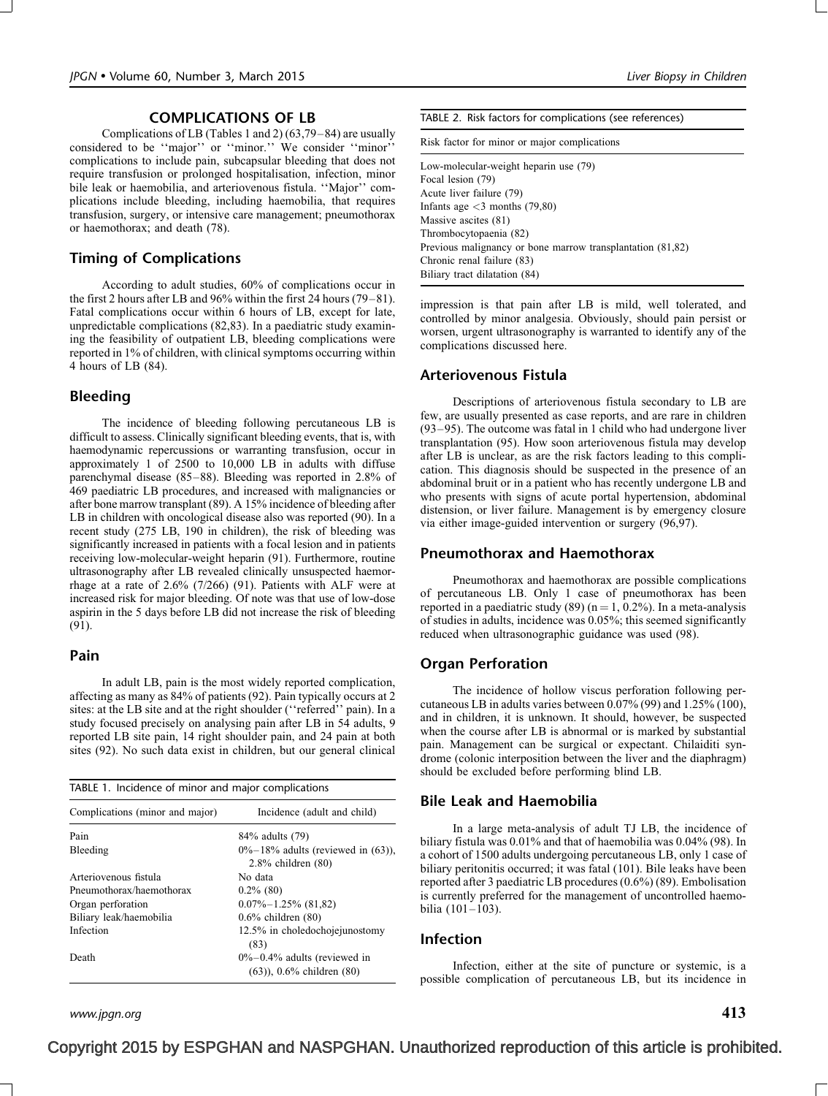#### COMPLICATIONS OF LB

Complications of LB (Tables 1 and 2) [\(63,79–84\)](#page-10-0) are usually considered to be ''major'' or ''minor.'' We consider ''minor'' complications to include pain, subcapsular bleeding that does not require transfusion or prolonged hospitalisation, infection, minor bile leak or haemobilia, and arteriovenous fistula. ''Major'' complications include bleeding, including haemobilia, that requires transfusion, surgery, or intensive care management; pneumothorax or haemothorax; and death [\(78\)](#page-11-0).

#### Timing of Complications

According to adult studies, 60% of complications occur in the first 2 hours after LB and 96% within the first 24 hours [\(79–81\).](#page-11-0) Fatal complications occur within 6 hours of LB, except for late, unpredictable complications [\(82,83\).](#page-11-0) In a paediatric study examining the feasibility of outpatient LB, bleeding complications were reported in 1% of children, with clinical symptoms occurring within 4 hours of LB [\(84\)](#page-11-0).

#### Bleeding

The incidence of bleeding following percutaneous LB is difficult to assess. Clinically significant bleeding events, that is, with haemodynamic repercussions or warranting transfusion, occur in approximately 1 of 2500 to 10,000 LB in adults with diffuse parenchymal disease [\(85–88\)](#page-11-0). Bleeding was reported in 2.8% of 469 paediatric LB procedures, and increased with malignancies or after bone marrow transplant [\(89\).](#page-11-0) A 15% incidence of bleeding after LB in children with oncological disease also was reported [\(90\)](#page-11-0). In a recent study (275 LB, 190 in children), the risk of bleeding was significantly increased in patients with a focal lesion and in patients receiving low-molecular-weight heparin [\(91\).](#page-11-0) Furthermore, routine ultrasonography after LB revealed clinically unsuspected haemorrhage at a rate of 2.6% (7/266) [\(91\)](#page-11-0). Patients with ALF were at increased risk for major bleeding. Of note was that use of low-dose aspirin in the 5 days before LB did not increase the risk of bleeding [\(91\).](#page-11-0)

#### Pain

In adult LB, pain is the most widely reported complication, affecting as many as 84% of patients [\(92\)](#page-11-0). Pain typically occurs at 2 sites: at the LB site and at the right shoulder (''referred'' pain). In a study focused precisely on analysing pain after LB in 54 adults, 9 reported LB site pain, 14 right shoulder pain, and 24 pain at both sites [\(92\)](#page-11-0). No such data exist in children, but our general clinical

| TABLE 1. Incidence of minor and major complications |                                                                    |  |
|-----------------------------------------------------|--------------------------------------------------------------------|--|
| Complications (minor and major)                     | Incidence (adult and child)                                        |  |
| Pain                                                | 84% adults (79)                                                    |  |
| Bleeding                                            | $0\% - 18\%$ adults (reviewed in (63)),<br>$2.8\%$ children $(80)$ |  |
| Arteriovenous fistula                               | No data                                                            |  |
| Pneumothorax/haemothorax                            | $0.2\%$ (80)                                                       |  |
| Organ perforation                                   | $0.07\% - 1.25\%$ (81,82)                                          |  |
| Biliary leak/haemobilia                             | $0.6\%$ children $(80)$                                            |  |
| Infection                                           | 12.5% in choledochojejunostomy<br>(83)                             |  |
| Death                                               | $0\% - 0.4\%$ adults (reviewed in<br>$(63)$ , 0.6% children $(80)$ |  |

www.jpgn.org  $413$ 

| TABLE 2. Risk factors for complications (see references)   |  |  |
|------------------------------------------------------------|--|--|
| Risk factor for minor or major complications               |  |  |
| Low-molecular-weight heparin use (79)                      |  |  |
| Focal lesion (79)                                          |  |  |
| Acute liver failure (79)                                   |  |  |
| Infants age $<$ 3 months (79,80)                           |  |  |
| Massive ascites (81)                                       |  |  |
| Thrombocytopaenia (82)                                     |  |  |
| Previous malignancy or bone marrow transplantation (81,82) |  |  |
| Chronic renal failure (83)                                 |  |  |
| Biliary tract dilatation (84)                              |  |  |

impression is that pain after LB is mild, well tolerated, and controlled by minor analgesia. Obviously, should pain persist or worsen, urgent ultrasonography is warranted to identify any of the complications discussed here.

#### Arteriovenous Fistula

Descriptions of arteriovenous fistula secondary to LB are few, are usually presented as case reports, and are rare in children [\(93–95\)](#page-11-0). The outcome was fatal in 1 child who had undergone liver transplantation [\(95\).](#page-11-0) How soon arteriovenous fistula may develop after LB is unclear, as are the risk factors leading to this complication. This diagnosis should be suspected in the presence of an abdominal bruit or in a patient who has recently undergone LB and who presents with signs of acute portal hypertension, abdominal distension, or liver failure. Management is by emergency closure via either image-guided intervention or surgery [\(96,97\).](#page-11-0)

#### Pneumothorax and Haemothorax

Pneumothorax and haemothorax are possible complications of percutaneous LB. Only 1 case of pneumothorax has been reported in a paediatric study [\(89\)](#page-11-0) ( $n = 1, 0.2\%$ ). In a meta-analysis of studies in adults, incidence was 0.05%; this seemed significantly reduced when ultrasonographic guidance was used [\(98\).](#page-11-0)

#### Organ Perforation

The incidence of hollow viscus perforation following percutaneous LB in adults varies between 0.07% [\(99\)](#page-11-0) and 1.25% [\(100\)](#page-11-0), and in children, it is unknown. It should, however, be suspected when the course after LB is abnormal or is marked by substantial pain. Management can be surgical or expectant. Chilaiditi syndrome (colonic interposition between the liver and the diaphragm) should be excluded before performing blind LB.

#### Bile Leak and Haemobilia

In a large meta-analysis of adult TJ LB, the incidence of biliary fistula was 0.01% and that of haemobilia was 0.04% [\(98\).](#page-11-0) In a cohort of 1500 adults undergoing percutaneous LB, only 1 case of biliary peritonitis occurred; it was fatal [\(101\).](#page-11-0) Bile leaks have been reported after 3 paediatric LB procedures (0.6%) [\(89\).](#page-11-0) Embolisation is currently preferred for the management of uncontrolled haemobilia [\(101–103\)](#page-11-0).

#### Infection

Infection, either at the site of puncture or systemic, is a possible complication of percutaneous LB, but its incidence in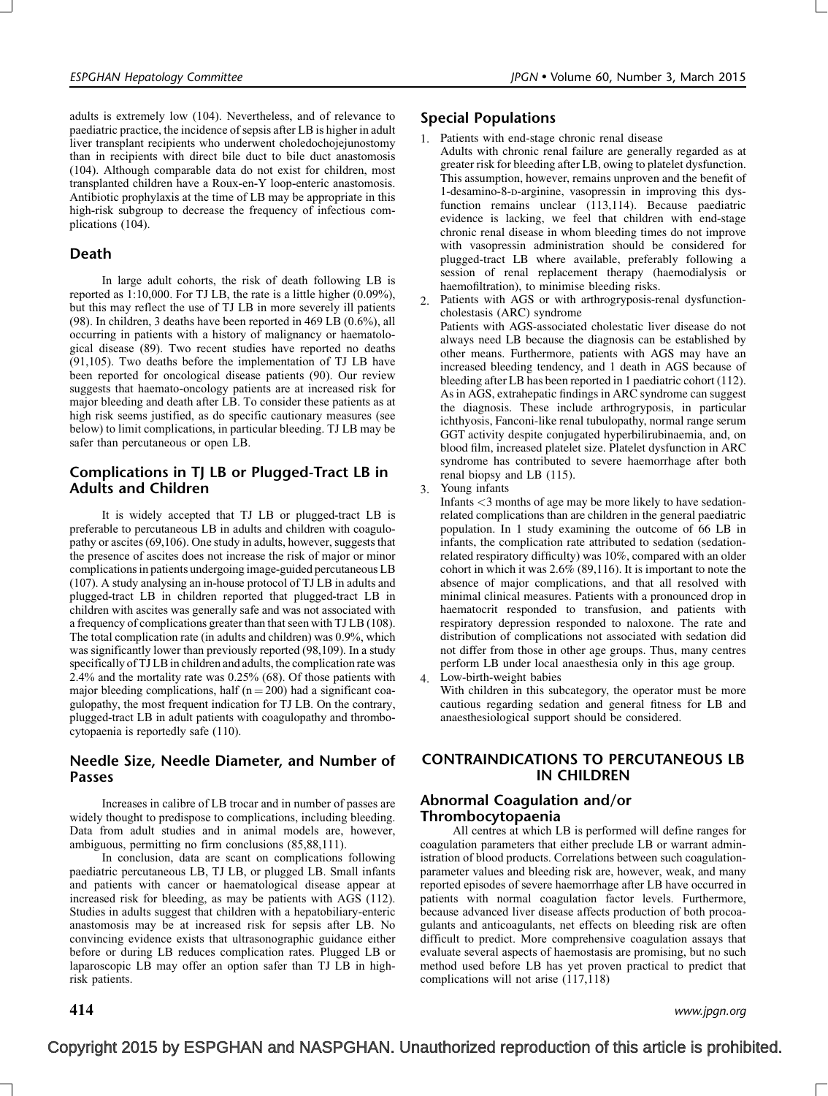adults is extremely low [\(104\).](#page-11-0) Nevertheless, and of relevance to paediatric practice, the incidence of sepsis after LB is higher in adult liver transplant recipients who underwent choledochojejunostomy than in recipients with direct bile duct to bile duct anastomosis [\(104\).](#page-11-0) Although comparable data do not exist for children, most transplanted children have a Roux-en-Y loop-enteric anastomosis. Antibiotic prophylaxis at the time of LB may be appropriate in this high-risk subgroup to decrease the frequency of infectious complications [\(104\).](#page-11-0)

#### Death

In large adult cohorts, the risk of death following LB is reported as  $1:10,000$ . For TJ LB, the rate is a little higher  $(0.09\%)$ , but this may reflect the use of TJ LB in more severely ill patients [\(98\)](#page-11-0). In children, 3 deaths have been reported in 469 LB (0.6%), all occurring in patients with a history of malignancy or haematological disease [\(89\)](#page-11-0). Two recent studies have reported no deaths [\(91,105\).](#page-11-0) Two deaths before the implementation of TJ LB have been reported for oncological disease patients [\(90\)](#page-11-0). Our review suggests that haemato-oncology patients are at increased risk for major bleeding and death after LB. To consider these patients as at high risk seems justified, as do specific cautionary measures (see below) to limit complications, in particular bleeding. TJ LB may be safer than percutaneous or open LB.

#### Complications in TJ LB or Plugged-Tract LB in Adults and Children

It is widely accepted that TJ LB or plugged-tract LB is preferable to percutaneous LB in adults and children with coagulopathy or ascites [\(69,106\)](#page-10-0). One study in adults, however, suggests that the presence of ascites does not increase the risk of major or minor complications in patients undergoing image-guided percutaneous LB [\(107\)](#page-11-0). A study analysing an in-house protocol of TJ LB in adults and plugged-tract LB in children reported that plugged-tract LB in children with ascites was generally safe and was not associated with a frequency of complications greater than that seen with TJ LB [\(108\).](#page-11-0) The total complication rate (in adults and children) was 0.9%, which was significantly lower than previously reported [\(98,109\)](#page-11-0). In a study specifically of TJ LB in children and adults, the complication rate was 2.4% and the mortality rate was 0.25% [\(68\)](#page-10-0). Of those patients with major bleeding complications, half ( $n = 200$ ) had a significant coagulopathy, the most frequent indication for TJ LB. On the contrary, plugged-tract LB in adult patients with coagulopathy and thrombocytopaenia is reportedly safe [\(110\).](#page-11-0)

#### Needle Size, Needle Diameter, and Number of Passes

Increases in calibre of LB trocar and in number of passes are widely thought to predispose to complications, including bleeding. Data from adult studies and in animal models are, however, ambiguous, permitting no firm conclusions [\(85,88,111\).](#page-11-0)

In conclusion, data are scant on complications following paediatric percutaneous LB, TJ LB, or plugged LB. Small infants and patients with cancer or haematological disease appear at increased risk for bleeding, as may be patients with AGS [\(112\).](#page-11-0) Studies in adults suggest that children with a hepatobiliary-enteric anastomosis may be at increased risk for sepsis after LB. No convincing evidence exists that ultrasonographic guidance either before or during LB reduces complication rates. Plugged LB or laparoscopic LB may offer an option safer than TJ LB in highrisk patients.

#### Special Populations

- 1. Patients with end-stage chronic renal disease Adults with chronic renal failure are generally regarded as at greater risk for bleeding after LB, owing to platelet dysfunction. This assumption, however, remains unproven and the benefit of 1-desamino-8-D-arginine, vasopressin in improving this dysfunction remains unclear [\(113,114\)](#page-11-0). Because paediatric evidence is lacking, we feel that children with end-stage chronic renal disease in whom bleeding times do not improve with vasopressin administration should be considered for plugged-tract LB where available, preferably following a session of renal replacement therapy (haemodialysis or haemofiltration), to minimise bleeding risks.
- 2. Patients with AGS or with arthrogryposis-renal dysfunctioncholestasis (ARC) syndrome Patients with AGS-associated cholestatic liver disease do not always need LB because the diagnosis can be established by other means. Furthermore, patients with AGS may have an increased bleeding tendency, and 1 death in AGS because of bleeding after LB has been reported in 1 paediatric cohort [\(112\)](#page-11-0). As in AGS, extrahepatic findings in ARC syndrome can suggest the diagnosis. These include arthrogryposis, in particular ichthyosis, Fanconi-like renal tubulopathy, normal range serum GGT activity despite conjugated hyperbilirubinaemia, and, on blood film, increased platelet size. Platelet dysfunction in ARC syndrome has contributed to severe haemorrhage after both renal biopsy and LB [\(115\)](#page-11-0).

3. Young infants

Infants <3 months of age may be more likely to have sedationrelated complications than are children in the general paediatric population. In 1 study examining the outcome of 66 LB in infants, the complication rate attributed to sedation (sedationrelated respiratory difficulty) was 10%, compared with an older cohort in which it was 2.6% [\(89,116\)](#page-11-0). It is important to note the absence of major complications, and that all resolved with minimal clinical measures. Patients with a pronounced drop in haematocrit responded to transfusion, and patients with respiratory depression responded to naloxone. The rate and distribution of complications not associated with sedation did not differ from those in other age groups. Thus, many centres perform LB under local anaesthesia only in this age group.

4. Low-birth-weight babies With children in this subcategory, the operator must be more cautious regarding sedation and general fitness for LB and

anaesthesiological support should be considered.

#### CONTRAINDICATIONS TO PERCUTANEOUS LB IN CHILDREN

#### Abnormal Coagulation and/or Thrombocytopaenia

All centres at which LB is performed will define ranges for coagulation parameters that either preclude LB or warrant administration of blood products. Correlations between such coagulationparameter values and bleeding risk are, however, weak, and many reported episodes of severe haemorrhage after LB have occurred in patients with normal coagulation factor levels. Furthermore, because advanced liver disease affects production of both procoagulants and anticoagulants, net effects on bleeding risk are often difficult to predict. More comprehensive coagulation assays that evaluate several aspects of haemostasis are promising, but no such method used before LB has yet proven practical to predict that complications will not arise [\(117,118\)](#page-11-0)

 $\bf 414$  www.jpgn.org www.jpgn.org www.jpgn.org www.jpgn.org www.jpgn.org  $\bf 414$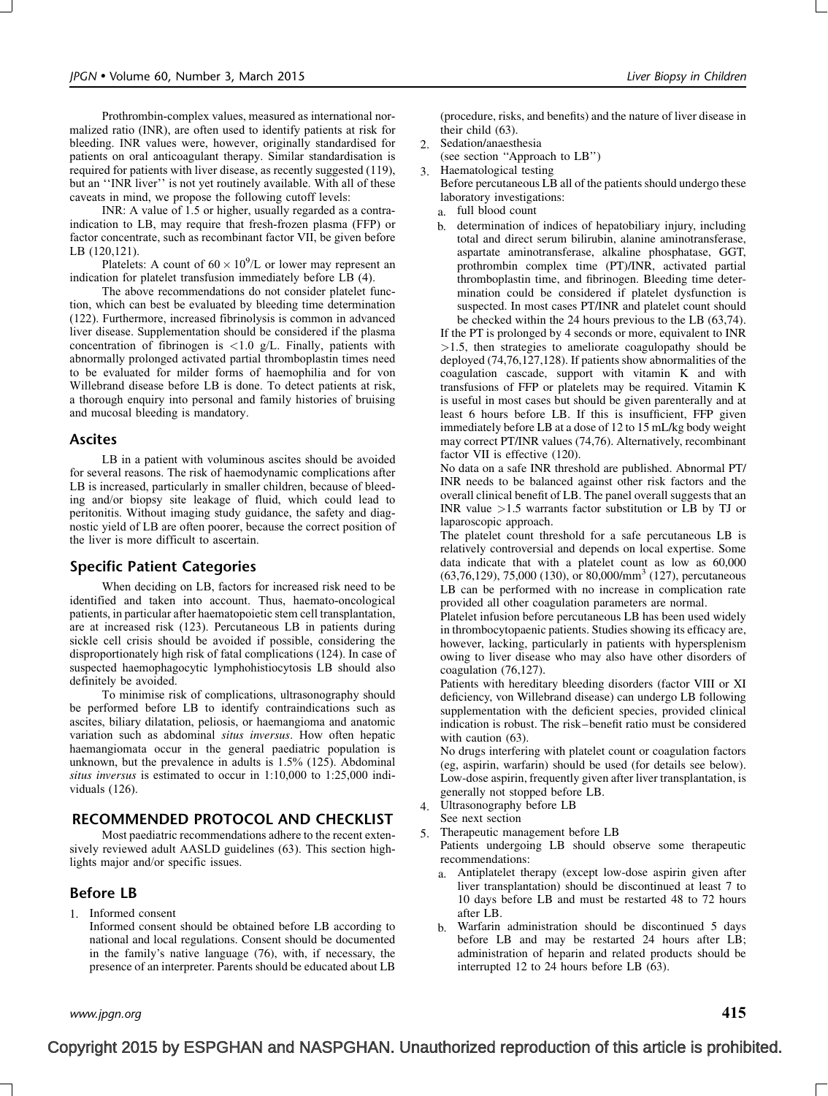Prothrombin-complex values, measured as international normalized ratio (INR), are often used to identify patients at risk for bleeding. INR values were, however, originally standardised for patients on oral anticoagulant therapy. Similar standardisation is required for patients with liver disease, as recently suggested [\(119\),](#page-11-0) but an ''INR liver'' is not yet routinely available. With all of these caveats in mind, we propose the following cutoff levels:

INR: A value of 1.5 or higher, usually regarded as a contraindication to LB, may require that fresh-frozen plasma (FFP) or factor concentrate, such as recombinant factor VII, be given before LB [\(120,121\).](#page-11-0)

Platelets: A count of  $60 \times 10^9$ /L or lower may represent an indication for platelet transfusion immediately before LB [\(4\)](#page-9-0).

The above recommendations do not consider platelet function, which can best be evaluated by bleeding time determination [\(122\).](#page-11-0) Furthermore, increased fibrinolysis is common in advanced liver disease. Supplementation should be considered if the plasma concentration of fibrinogen is  $\langle 1.0 \rangle$  g/L. Finally, patients with abnormally prolonged activated partial thromboplastin times need to be evaluated for milder forms of haemophilia and for von Willebrand disease before LB is done. To detect patients at risk, a thorough enquiry into personal and family histories of bruising and mucosal bleeding is mandatory.

#### Ascites

LB in a patient with voluminous ascites should be avoided for several reasons. The risk of haemodynamic complications after LB is increased, particularly in smaller children, because of bleeding and/or biopsy site leakage of fluid, which could lead to peritonitis. Without imaging study guidance, the safety and diagnostic yield of LB are often poorer, because the correct position of the liver is more difficult to ascertain.

#### Specific Patient Categories

When deciding on LB, factors for increased risk need to be identified and taken into account. Thus, haemato-oncological patients, in particular after haematopoietic stem cell transplantation, are at increased risk [\(123\).](#page-11-0) Percutaneous LB in patients during sickle cell crisis should be avoided if possible, considering the disproportionately high risk of fatal complications [\(124\).](#page-11-0) In case of suspected haemophagocytic lymphohistiocytosis LB should also definitely be avoided.

To minimise risk of complications, ultrasonography should be performed before LB to identify contraindications such as ascites, biliary dilatation, peliosis, or haemangioma and anatomic variation such as abdominal situs inversus. How often hepatic haemangiomata occur in the general paediatric population is unknown, but the prevalence in adults is 1.5% [\(125\)](#page-11-0). Abdominal situs inversus is estimated to occur in 1:10,000 to 1:25,000 individuals [\(126\)](#page-11-0).

#### RECOMMENDED PROTOCOL AND CHECKLIST

Most paediatric recommendations adhere to the recent exten-sively reviewed adult AASLD guidelines [\(63\)](#page-10-0). This section highlights major and/or specific issues.

#### Before LB

1. Informed consent

Informed consent should be obtained before LB according to national and local regulations. Consent should be documented in the family's native language [\(76\),](#page-10-0) with, if necessary, the presence of an interpreter. Parents should be educated about LB

(procedure, risks, and benefits) and the nature of liver disease in their child [\(63\).](#page-10-0)

2. Sedation/anaesthesia

(see section ''Approach to LB'')

- 3. Haematological testing Before percutaneous LB all of the patients should undergo these laboratory investigations:
	- a. full blood count
	- b. determination of indices of hepatobiliary injury, including total and direct serum bilirubin, alanine aminotransferase, aspartate aminotransferase, alkaline phosphatase, GGT, prothrombin complex time (PT)/INR, activated partial thromboplastin time, and fibrinogen. Bleeding time determination could be considered if platelet dysfunction is suspected. In most cases PT/INR and platelet count should be checked within the 24 hours previous to the LB [\(63,74\)](#page-10-0).

If the PT is prolonged by 4 seconds or more, equivalent to INR >1.5, then strategies to ameliorate coagulopathy should be deployed [\(74,76,127,128\).](#page-10-0) If patients show abnormalities of the coagulation cascade, support with vitamin K and with transfusions of FFP or platelets may be required. Vitamin K is useful in most cases but should be given parenterally and at least 6 hours before LB. If this is insufficient, FFP given immediately before LB at a dose of 12 to 15 mL/kg body weight may correct PT/INR values [\(74,76\)](#page-10-0). Alternatively, recombinant factor VII is effective [\(120\)](#page-11-0).

No data on a safe INR threshold are published. Abnormal PT/ INR needs to be balanced against other risk factors and the overall clinical benefit of LB. The panel overall suggests that an INR value >1.5 warrants factor substitution or LB by TJ or laparoscopic approach.

The platelet count threshold for a safe percutaneous LB is relatively controversial and depends on local expertise. Some data indicate that with a platelet count as low as 60,000 [\(63,76,129\)](#page-10-0), 75,000 [\(130\)](#page-12-0), or 80,000/mm<sup>3</sup> [\(127\)](#page-12-0), percutaneous LB can be performed with no increase in complication rate provided all other coagulation parameters are normal.

Platelet infusion before percutaneous LB has been used widely in thrombocytopaenic patients. Studies showing its efficacy are, however, lacking, particularly in patients with hypersplenism owing to liver disease who may also have other disorders of coagulation [\(76,127\).](#page-10-0)

Patients with hereditary bleeding disorders (factor VIII or XI deficiency, von Willebrand disease) can undergo LB following supplementation with the deficient species, provided clinical indication is robust. The risk–benefit ratio must be considered with caution [\(63\).](#page-10-0)

No drugs interfering with platelet count or coagulation factors (eg, aspirin, warfarin) should be used (for details see below). Low-dose aspirin, frequently given after liver transplantation, is generally not stopped before LB.

- 4. Ultrasonography before LB See next section
- 5. Therapeutic management before LB

Patients undergoing LB should observe some therapeutic recommendations:

- a. Antiplatelet therapy (except low-dose aspirin given after liver transplantation) should be discontinued at least 7 to 10 days before LB and must be restarted 48 to 72 hours after LB.
- b. Warfarin administration should be discontinued 5 days before LB and may be restarted 24 hours after LB; administration of heparin and related products should be interrupted 12 to 24 hours before LB [\(63\).](#page-10-0)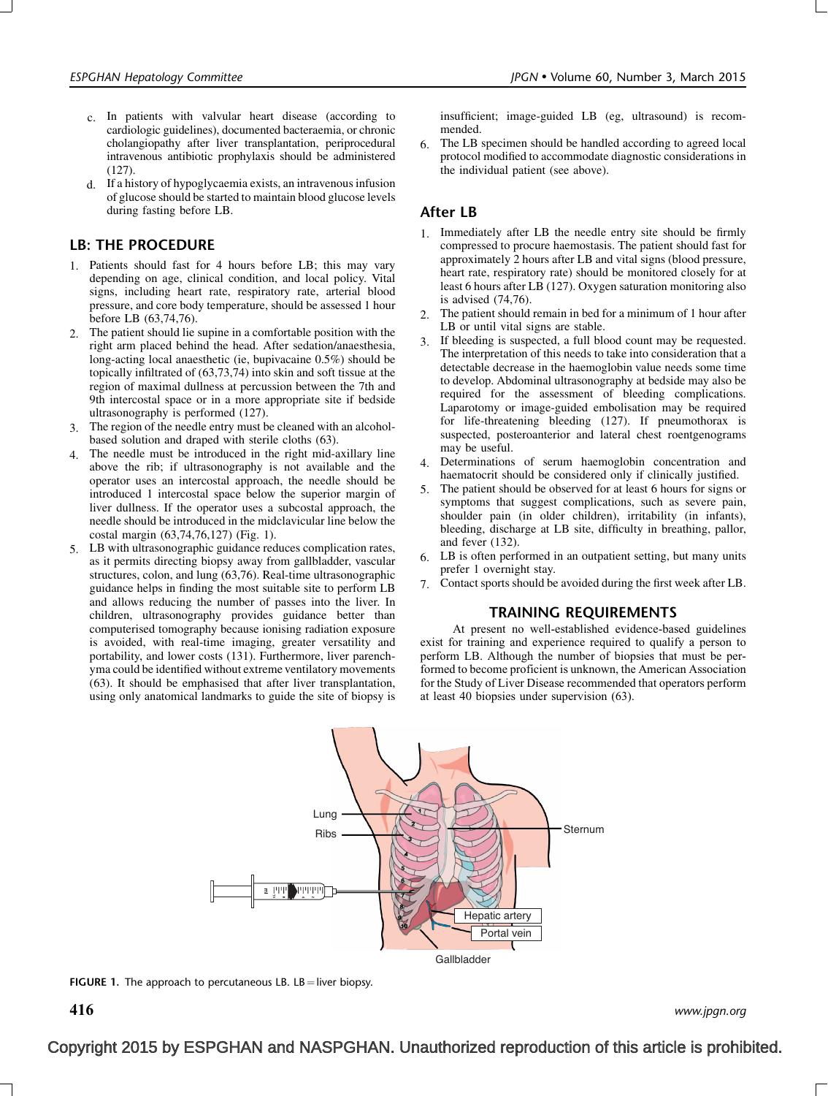- c. In patients with valvular heart disease (according to cardiologic guidelines), documented bacteraemia, or chronic cholangiopathy after liver transplantation, periprocedural intravenous antibiotic prophylaxis should be administered [\(127\).](#page-12-0)
- d. If a history of hypoglycaemia exists, an intravenous infusion of glucose should be started to maintain blood glucose levels during fasting before LB.

### LB: THE PROCEDURE

- 1. Patients should fast for 4 hours before LB; this may vary depending on age, clinical condition, and local policy. Vital signs, including heart rate, respiratory rate, arterial blood pressure, and core body temperature, should be assessed 1 hour before LB [\(63,74,76\).](#page-10-0)
- 2. The patient should lie supine in a comfortable position with the right arm placed behind the head. After sedation/anaesthesia, long-acting local anaesthetic (ie, bupivacaine 0.5%) should be topically infiltrated of [\(63,73,74\)](#page-10-0) into skin and soft tissue at the region of maximal dullness at percussion between the 7th and 9th intercostal space or in a more appropriate site if bedside ultrasonography is performed [\(127\)](#page-12-0).
- 3. The region of the needle entry must be cleaned with an alcoholbased solution and draped with sterile cloths [\(63\)](#page-10-0).
- 4. The needle must be introduced in the right mid-axillary line above the rib; if ultrasonography is not available and the operator uses an intercostal approach, the needle should be introduced 1 intercostal space below the superior margin of liver dullness. If the operator uses a subcostal approach, the needle should be introduced in the midclavicular line below the costal margin [\(63,74,76,127\)](#page-10-0) (Fig. 1).
- 5. LB with ultrasonographic guidance reduces complication rates, as it permits directing biopsy away from gallbladder, vascular structures, colon, and lung [\(63,76\)](#page-10-0). Real-time ultrasonographic guidance helps in finding the most suitable site to perform LB and allows reducing the number of passes into the liver. In children, ultrasonography provides guidance better than computerised tomography because ionising radiation exposure is avoided, with real-time imaging, greater versatility and portability, and lower costs [\(131\).](#page-12-0) Furthermore, liver parenchyma could be identified without extreme ventilatory movements [\(63\).](#page-10-0) It should be emphasised that after liver transplantation, using only anatomical landmarks to guide the site of biopsy is

insufficient; image-guided LB (eg, ultrasound) is recommended.

6. The LB specimen should be handled according to agreed local protocol modified to accommodate diagnostic considerations in the individual patient (see above).

# After LB

- 1. Immediately after LB the needle entry site should be firmly compressed to procure haemostasis. The patient should fast for approximately 2 hours after LB and vital signs (blood pressure, heart rate, respiratory rate) should be monitored closely for at least 6 hours after LB [\(127\)](#page-12-0). Oxygen saturation monitoring also is advised [\(74,76\).](#page-10-0)
- 2. The patient should remain in bed for a minimum of 1 hour after LB or until vital signs are stable.
- 3. If bleeding is suspected, a full blood count may be requested. The interpretation of this needs to take into consideration that a detectable decrease in the haemoglobin value needs some time to develop. Abdominal ultrasonography at bedside may also be required for the assessment of bleeding complications. Laparotomy or image-guided embolisation may be required for life-threatening bleeding [\(127\).](#page-12-0) If pneumothorax is suspected, posteroanterior and lateral chest roentgenograms may be useful.
- 4. Determinations of serum haemoglobin concentration and haematocrit should be considered only if clinically justified.
- 5. The patient should be observed for at least 6 hours for signs or symptoms that suggest complications, such as severe pain, shoulder pain (in older children), irritability (in infants), bleeding, discharge at LB site, difficulty in breathing, pallor, and fever [\(132\).](#page-12-0)
- 6. LB is often performed in an outpatient setting, but many units prefer 1 overnight stay.
- 7. Contact sports should be avoided during the first week after LB.

#### TRAINING REQUIREMENTS

At present no well-established evidence-based guidelines exist for training and experience required to qualify a person to perform LB. Although the number of biopsies that must be performed to become proficient is unknown, the American Association for the Study of Liver Disease recommended that operators perform at least 40 biopsies under supervision [\(63\).](#page-10-0)



FIGURE 1. The approach to percutaneous LB.  $LB =$  liver biopsy.

 $\bf 416$  www.jpgn.org www.jpgn.org www.jpgn.org www.jpgn.org www.jpgn.org  $\bf$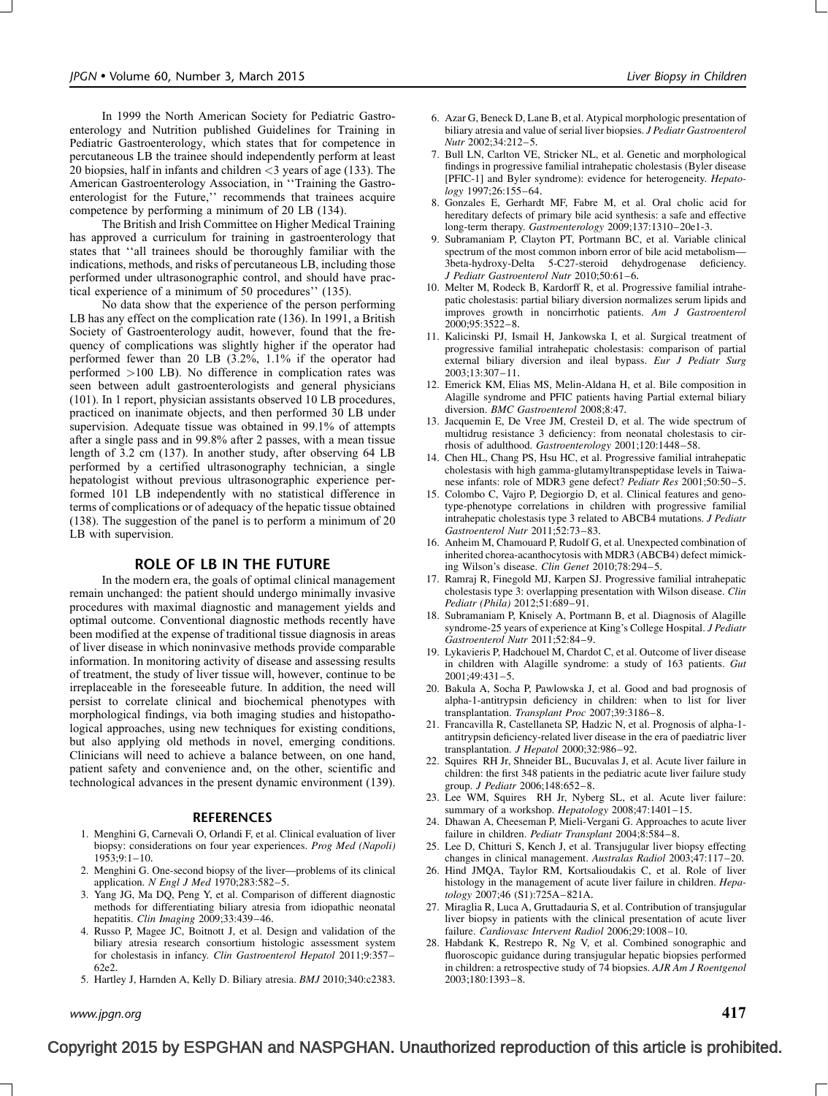<span id="page-9-0"></span>In 1999 the North American Society for Pediatric Gastroenterology and Nutrition published Guidelines for Training in Pediatric Gastroenterology, which states that for competence in percutaneous LB the trainee should independently perform at least 20 biopsies, half in infants and children  $\langle 3 \rangle$  years of age [\(133\).](#page-12-0) The American Gastroenterology Association, in ''Training the Gastroenterologist for the Future,'' recommends that trainees acquire competence by performing a minimum of 20 LB [\(134\).](#page-12-0)

The British and Irish Committee on Higher Medical Training has approved a curriculum for training in gastroenterology that states that ''all trainees should be thoroughly familiar with the indications, methods, and risks of percutaneous LB, including those performed under ultrasonographic control, and should have practical experience of a minimum of 50 procedures'' [\(135\)](#page-12-0).

No data show that the experience of the person performing LB has any effect on the complication rate [\(136\)](#page-12-0). In 1991, a British Society of Gastroenterology audit, however, found that the frequency of complications was slightly higher if the operator had performed fewer than 20 LB (3.2%, 1.1% if the operator had performed >100 LB). No difference in complication rates was seen between adult gastroenterologists and general physicians [\(101\).](#page-11-0) In 1 report, physician assistants observed 10 LB procedures, practiced on inanimate objects, and then performed 30 LB under supervision. Adequate tissue was obtained in 99.1% of attempts after a single pass and in 99.8% after 2 passes, with a mean tissue length of 3.2 cm [\(137\).](#page-12-0) In another study, after observing 64 LB performed by a certified ultrasonography technician, a single hepatologist without previous ultrasonographic experience performed 101 LB independently with no statistical difference in terms of complications or of adequacy of the hepatic tissue obtained [\(138\).](#page-12-0) The suggestion of the panel is to perform a minimum of 20 LB with supervision.

#### ROLE OF LB IN THE FUTURE

In the modern era, the goals of optimal clinical management remain unchanged: the patient should undergo minimally invasive procedures with maximal diagnostic and management yields and optimal outcome. Conventional diagnostic methods recently have been modified at the expense of traditional tissue diagnosis in areas of liver disease in which noninvasive methods provide comparable information. In monitoring activity of disease and assessing results of treatment, the study of liver tissue will, however, continue to be irreplaceable in the foreseeable future. In addition, the need will persist to correlate clinical and biochemical phenotypes with morphological findings, via both imaging studies and histopathological approaches, using new techniques for existing conditions, but also applying old methods in novel, emerging conditions. Clinicians will need to achieve a balance between, on one hand, patient safety and convenience and, on the other, scientific and technological advances in the present dynamic environment [\(139\).](#page-12-0)

#### **REFERENCES**

- 1. Menghini G, Carnevali O, Orlandi F, et al. Clinical evaluation of liver biopsy: considerations on four year experiences. Prog Med (Napoli) 1953;9:1–10.
- 2. Menghini G. One-second biopsy of the liver—problems of its clinical application. N Engl J Med  $1970:283:582-5$ .
- 3. Yang JG, Ma DQ, Peng Y, et al. Comparison of different diagnostic methods for differentiating biliary atresia from idiopathic neonatal hepatitis. Clin Imaging 2009;33:439-46.
- 4. Russo P, Magee JC, Boitnott J, et al. Design and validation of the biliary atresia research consortium histologic assessment system for cholestasis in infancy. Clin Gastroenterol Hepatol 2011;9:357– 62e2.
- 5. Hartley J, Harnden A, Kelly D. Biliary atresia. BMJ 2010;340:c2383.
- 6. Azar G, Beneck D, Lane B, et al. Atypical morphologic presentation of biliary atresia and value of serial liver biopsies. J Pediatr Gastroenterol Nutr 2002;34:212–5.
- 7. Bull LN, Carlton VE, Stricker NL, et al. Genetic and morphological findings in progressive familial intrahepatic cholestasis (Byler disease [PFIC-1] and Byler syndrome): evidence for heterogeneity. Hepatology 1997;26:155–64.
- 8. Gonzales E, Gerhardt MF, Fabre M, et al. Oral cholic acid for hereditary defects of primary bile acid synthesis: a safe and effective long-term therapy. Gastroenterology 2009;137:1310–20e1-3.
- 9. Subramaniam P, Clayton PT, Portmann BC, et al. Variable clinical spectrum of the most common inborn error of bile acid metabolism— 3beta-hydroxy-Delta 5-C27-steroid dehydrogenase deficiency. J Pediatr Gastroenterol Nutr 2010;50:61–6.
- 10. Melter M, Rodeck B, Kardorff R, et al. Progressive familial intrahepatic cholestasis: partial biliary diversion normalizes serum lipids and improves growth in noncirrhotic patients. Am J Gastroenterol 2000;95:3522–8.
- 11. Kalicinski PJ, Ismail H, Jankowska I, et al. Surgical treatment of progressive familial intrahepatic cholestasis: comparison of partial external biliary diversion and ileal bypass. Eur J Pediatr Surg  $2003:13:307 - 11$ .
- 12. Emerick KM, Elias MS, Melin-Aldana H, et al. Bile composition in Alagille syndrome and PFIC patients having Partial external biliary diversion. BMC Gastroenterol 2008;8:47.
- 13. Jacquemin E, De Vree JM, Cresteil D, et al. The wide spectrum of multidrug resistance 3 deficiency: from neonatal cholestasis to cirrhosis of adulthood. Gastroenterology 2001;120:1448–58.
- 14. Chen HL, Chang PS, Hsu HC, et al. Progressive familial intrahepatic cholestasis with high gamma-glutamyltranspeptidase levels in Taiwanese infants: role of MDR3 gene defect? Pediatr Res 2001;50:50–5.
- 15. Colombo C, Vajro P, Degiorgio D, et al. Clinical features and genotype-phenotype correlations in children with progressive familial intrahepatic cholestasis type 3 related to ABCB4 mutations. J Pediatr Gastroenterol Nutr 2011;52:73–83.
- 16. Anheim M, Chamouard P, Rudolf G, et al. Unexpected combination of inherited chorea-acanthocytosis with MDR3 (ABCB4) defect mimicking Wilson's disease. Clin Genet 2010;78:294–5.
- 17. Ramraj R, Finegold MJ, Karpen SJ. Progressive familial intrahepatic cholestasis type 3: overlapping presentation with Wilson disease. Clin Pediatr (Phila) 2012;51:689–91.
- 18. Subramaniam P, Knisely A, Portmann B, et al. Diagnosis of Alagille syndrome-25 years of experience at King's College Hospital. J Pediatr Gastroenterol Nutr 2011;52:84–9.
- 19. Lykavieris P, Hadchouel M, Chardot C, et al. Outcome of liver disease in children with Alagille syndrome: a study of 163 patients. Gut 2001;49:431–5.
- 20. Bakula A, Socha P, Pawlowska J, et al. Good and bad prognosis of alpha-1-antitrypsin deficiency in children: when to list for liver transplantation. Transplant Proc 2007;39:3186–8.
- 21. Francavilla R, Castellaneta SP, Hadzic N, et al. Prognosis of alpha-1 antitrypsin deficiency-related liver disease in the era of paediatric liver transplantation. J Hepatol 2000;32:986-92.
- 22. Squires RH Jr, Shneider BL, Bucuvalas J, et al. Acute liver failure in children: the first 348 patients in the pediatric acute liver failure study group. J Pediatr 2006;148:652–8.
- 23. Lee WM, Squires RH Jr, Nyberg SL, et al. Acute liver failure: summary of a workshop. Hepatology 2008;47:1401-15.
- 24. Dhawan A, Cheeseman P, Mieli-Vergani G. Approaches to acute liver failure in children. Pediatr Transplant 2004;8:584-8.
- 25. Lee D, Chitturi S, Kench J, et al. Transjugular liver biopsy effecting changes in clinical management. Australas Radiol 2003;47:117–20.
- 26. Hind JMQA, Taylor RM, Kortsalioudakis C, et al. Role of liver histology in the management of acute liver failure in children. Hepatology 2007;46 (S1):725A–821A.
- 27. Miraglia R, Luca A, Gruttadauria S, et al. Contribution of transjugular liver biopsy in patients with the clinical presentation of acute liver failure. Cardiovasc Intervent Radiol 2006;29:1008–10.
- 28. Habdank K, Restrepo R, Ng V, et al. Combined sonographic and fluoroscopic guidance during transjugular hepatic biopsies performed in children: a retrospective study of 74 biopsies. AJR Am J Roentgenol 2003;180:1393–8.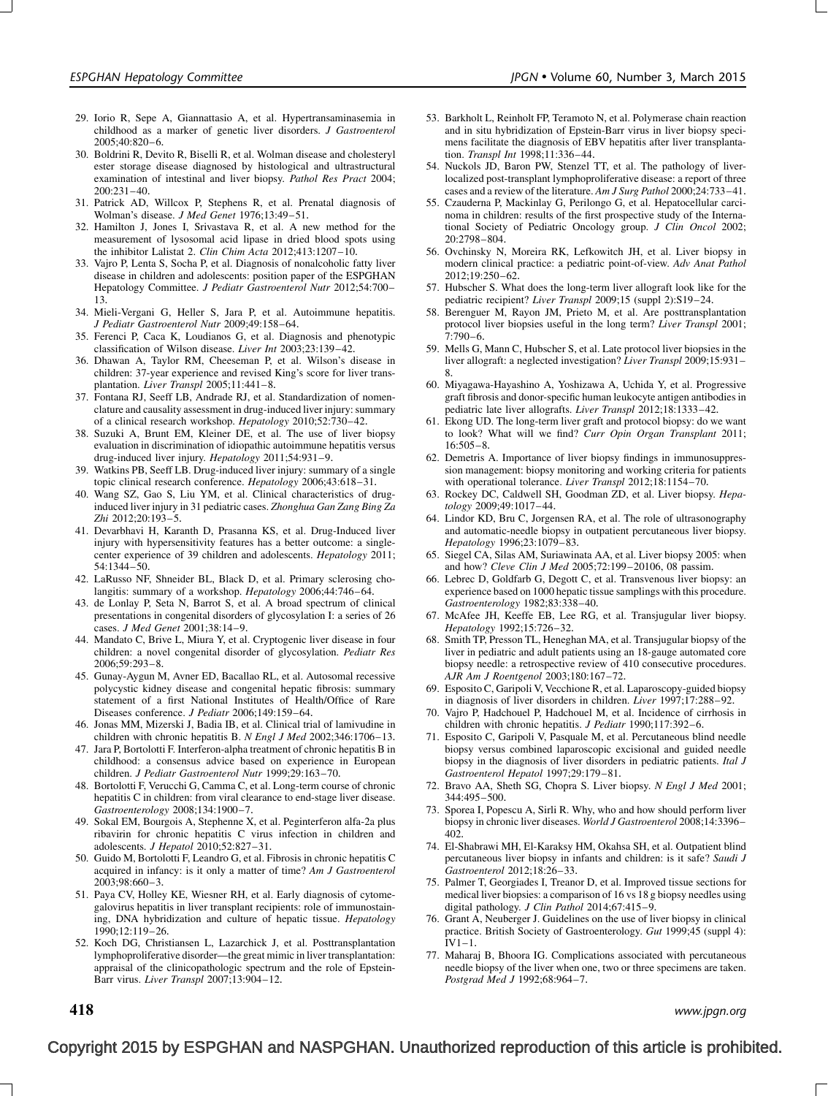- <span id="page-10-0"></span>29. Iorio R, Sepe A, Giannattasio A, et al. Hypertransaminasemia in childhood as a marker of genetic liver disorders. J Gastroenterol 2005;40:820–6.
- 30. Boldrini R, Devito R, Biselli R, et al. Wolman disease and cholesteryl ester storage disease diagnosed by histological and ultrastructural examination of intestinal and liver biopsy. Pathol Res Pract 2004;  $200:231-40.$
- 31. Patrick AD, Willcox P, Stephens R, et al. Prenatal diagnosis of Wolman's disease. J Med Genet 1976;13:49–51.
- 32. Hamilton J, Jones I, Srivastava R, et al. A new method for the measurement of lysosomal acid lipase in dried blood spots using the inhibitor Lalistat 2. Clin Chim Acta 2012;413:1207–10.
- 33. Vajro P, Lenta S, Socha P, et al. Diagnosis of nonalcoholic fatty liver disease in children and adolescents: position paper of the ESPGHAN Hepatology Committee. J Pediatr Gastroenterol Nutr 2012;54:700– 13.
- 34. Mieli-Vergani G, Heller S, Jara P, et al. Autoimmune hepatitis. J Pediatr Gastroenterol Nutr 2009;49:158–64.
- 35. Ferenci P, Caca K, Loudianos G, et al. Diagnosis and phenotypic classification of Wilson disease. Liver Int 2003;23:139–42.
- 36. Dhawan A, Taylor RM, Cheeseman P, et al. Wilson's disease in children: 37-year experience and revised King's score for liver transplantation. Liver Transpl 2005;11:441–8.
- 37. Fontana RJ, Seeff LB, Andrade RJ, et al. Standardization of nomenclature and causality assessment in drug-induced liver injury: summary of a clinical research workshop. Hepatology 2010;52:730–42.
- 38. Suzuki A, Brunt EM, Kleiner DE, et al. The use of liver biopsy evaluation in discrimination of idiopathic autoimmune hepatitis versus drug-induced liver injury. Hepatology 2011;54:931–9.
- 39. Watkins PB, Seeff LB. Drug-induced liver injury: summary of a single topic clinical research conference. Hepatology 2006;43:618–31.
- 40. Wang SZ, Gao S, Liu YM, et al. Clinical characteristics of druginduced liver injury in 31 pediatric cases. Zhonghua Gan Zang Bing Za Zhi 2012;20:193–5.
- 41. Devarbhavi H, Karanth D, Prasanna KS, et al. Drug-Induced liver injury with hypersensitivity features has a better outcome: a singlecenter experience of 39 children and adolescents. Hepatology 2011; 54:1344–50.
- 42. LaRusso NF, Shneider BL, Black D, et al. Primary sclerosing cholangitis: summary of a workshop. Hepatology 2006;44:746–64.
- 43. de Lonlay P, Seta N, Barrot S, et al. A broad spectrum of clinical presentations in congenital disorders of glycosylation I: a series of 26 cases. J Med Genet 2001;38:14–9.
- 44. Mandato C, Brive L, Miura Y, et al. Cryptogenic liver disease in four children: a novel congenital disorder of glycosylation. Pediatr Res 2006;59:293–8.
- 45. Gunay-Aygun M, Avner ED, Bacallao RL, et al. Autosomal recessive polycystic kidney disease and congenital hepatic fibrosis: summary statement of a first National Institutes of Health/Office of Rare Diseases conference. J Pediatr 2006;149:159–64.
- 46. Jonas MM, Mizerski J, Badia IB, et al. Clinical trial of lamivudine in children with chronic hepatitis B. N Engl J Med 2002;346:1706–13.
- 47. Jara P, Bortolotti F. Interferon-alpha treatment of chronic hepatitis B in childhood: a consensus advice based on experience in European children. J Pediatr Gastroenterol Nutr 1999;29:163–70.
- 48. Bortolotti F, Verucchi G, Camma C, et al. Long-term course of chronic hepatitis C in children: from viral clearance to end-stage liver disease. Gastroenterology 2008;134:1900–7.
- 49. Sokal EM, Bourgois A, Stephenne X, et al. Peginterferon alfa-2a plus ribavirin for chronic hepatitis C virus infection in children and adolescents. J Hepatol 2010;52:827–31.
- 50. Guido M, Bortolotti F, Leandro G, et al. Fibrosis in chronic hepatitis C acquired in infancy: is it only a matter of time? Am J Gastroenterol 2003;98:660–3.
- 51. Paya CV, Holley KE, Wiesner RH, et al. Early diagnosis of cytomegalovirus hepatitis in liver transplant recipients: role of immunostaining, DNA hybridization and culture of hepatic tissue. Hepatology 1990;12:119–26.
- 52. Koch DG, Christiansen L, Lazarchick J, et al. Posttransplantation lymphoproliferative disorder—the great mimic in liver transplantation: appraisal of the clinicopathologic spectrum and the role of Epstein-Barr virus. Liver Transpl 2007;13:904–12.
- 53. Barkholt L, Reinholt FP, Teramoto N, et al. Polymerase chain reaction and in situ hybridization of Epstein-Barr virus in liver biopsy specimens facilitate the diagnosis of EBV hepatitis after liver transplantation. Transpl Int 1998;11:336–44.
- 54. Nuckols JD, Baron PW, Stenzel TT, et al. The pathology of liverlocalized post-transplant lymphoproliferative disease: a report of three cases and a review of the literature. Am J Surg Pathol 2000;24:733–41.
- 55. Czauderna P, Mackinlay G, Perilongo G, et al. Hepatocellular carcinoma in children: results of the first prospective study of the International Society of Pediatric Oncology group. *J Clin Oncol* 2002; 20:2798–804.
- 56. Ovchinsky N, Moreira RK, Lefkowitch JH, et al. Liver biopsy in modern clinical practice: a pediatric point-of-view. Adv Anat Pathol 2012;19:250–62.
- 57. Hubscher S. What does the long-term liver allograft look like for the pediatric recipient? Liver Transpl 2009;15 (suppl 2):S19-24.
- 58. Berenguer M, Rayon JM, Prieto M, et al. Are posttransplantation protocol liver biopsies useful in the long term? Liver Transpl 2001; 7:790–6.
- 59. Mells G, Mann C, Hubscher S, et al. Late protocol liver biopsies in the liver allograft: a neglected investigation? Liver Transpl 2009;15:931-8.
- 60. Miyagawa-Hayashino A, Yoshizawa A, Uchida Y, et al. Progressive graft fibrosis and donor-specific human leukocyte antigen antibodies in pediatric late liver allografts. Liver Transpl 2012;18:1333–42.
- 61. Ekong UD. The long-term liver graft and protocol biopsy: do we want to look? What will we find? Curr Opin Organ Transplant 2011; 16:505–8.
- 62. Demetris A. Importance of liver biopsy findings in immunosuppression management: biopsy monitoring and working criteria for patients with operational tolerance. Liver Transpl 2012;18:1154–70.
- 63. Rockey DC, Caldwell SH, Goodman ZD, et al. Liver biopsy. Hepatology 2009;49:1017–44.
- 64. Lindor KD, Bru C, Jorgensen RA, et al. The role of ultrasonography and automatic-needle biopsy in outpatient percutaneous liver biopsy. Hepatology 1996;23:1079–83.
- 65. Siegel CA, Silas AM, Suriawinata AA, et al. Liver biopsy 2005: when and how? Cleve Clin J Med 2005;72:199–20106, 08 passim.
- 66. Lebrec D, Goldfarb G, Degott C, et al. Transvenous liver biopsy: an experience based on 1000 hepatic tissue samplings with this procedure. Gastroenterology 1982;83:338–40.
- 67. McAfee JH, Keeffe EB, Lee RG, et al. Transjugular liver biopsy. Hepatology 1992;15:726–32.
- 68. Smith TP, Presson TL, Heneghan MA, et al. Transjugular biopsy of the liver in pediatric and adult patients using an 18-gauge automated core biopsy needle: a retrospective review of 410 consecutive procedures. AJR Am J Roentgenol 2003;180:167–72.
- 69. Esposito C, Garipoli V, Vecchione R, et al. Laparoscopy-guided biopsy in diagnosis of liver disorders in children. Liver 1997;17:288–92.
- 70. Vajro P, Hadchouel P, Hadchouel M, et al. Incidence of cirrhosis in children with chronic hepatitis. J Pediatr 1990;117:392-6.
- 71. Esposito C, Garipoli V, Pasquale M, et al. Percutaneous blind needle biopsy versus combined laparoscopic excisional and guided needle biopsy in the diagnosis of liver disorders in pediatric patients. Ital J Gastroenterol Hepatol 1997;29:179–81.
- 72. Bravo AA, Sheth SG, Chopra S. Liver biopsy. N Engl J Med 2001; 344:495–500.
- 73. Sporea I, Popescu A, Sirli R. Why, who and how should perform liver biopsy in chronic liver diseases. World J Gastroenterol 2008;14:3396– 402.
- 74. El-Shabrawi MH, El-Karaksy HM, Okahsa SH, et al. Outpatient blind percutaneous liver biopsy in infants and children: is it safe? Saudi J Gastroenterol 2012;18:26–33.
- 75. Palmer T, Georgiades I, Treanor D, et al. Improved tissue sections for medical liver biopsies: a comparison of 16 vs 18 g biopsy needles using digital pathology. J Clin Pathol 2014;67:415-9.
- 76. Grant A, Neuberger J. Guidelines on the use of liver biopsy in clinical practice. British Society of Gastroenterology. Gut 1999;45 (suppl 4):  $IV1-1$
- 77. Maharaj B, Bhoora IG. Complications associated with percutaneous needle biopsy of the liver when one, two or three specimens are taken. Postgrad Med J 1992;68:964–7.

 $\,418$  www.jpgn.org  $\,$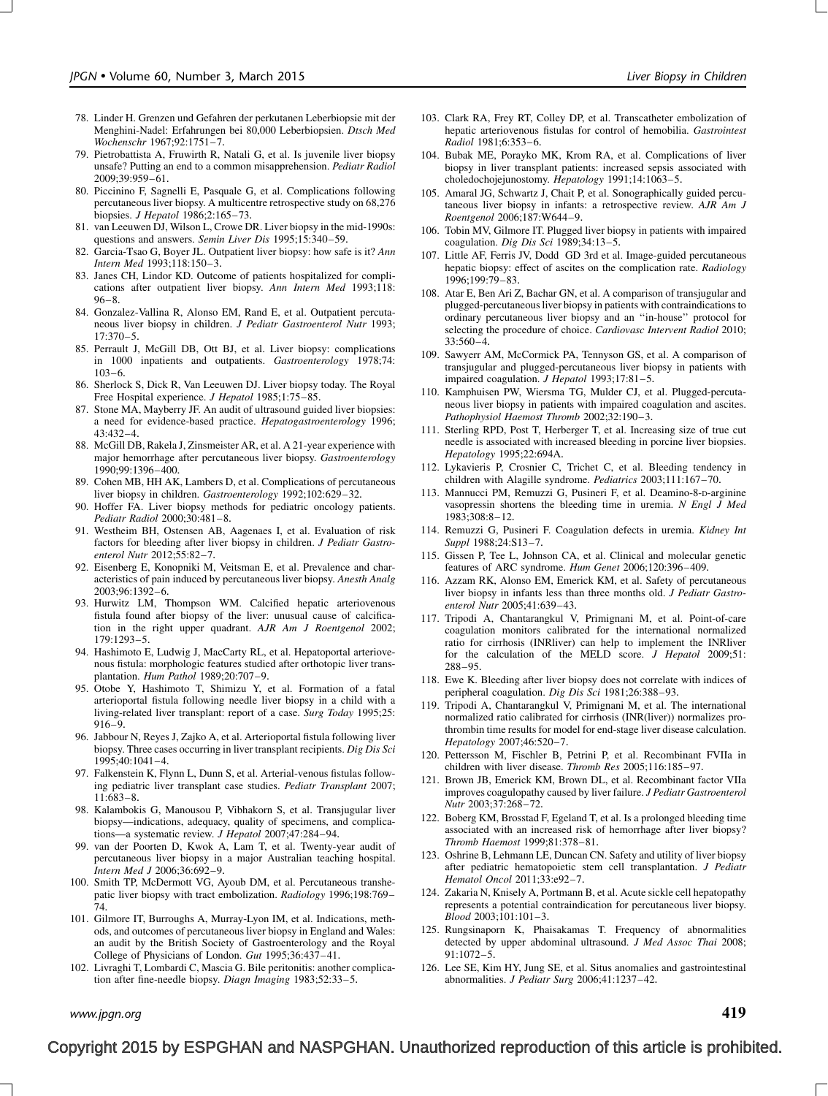- <span id="page-11-0"></span>78. Linder H. Grenzen und Gefahren der perkutanen Leberbiopsie mit der Menghini-Nadel: Erfahrungen bei 80,000 Leberbiopsien. Dtsch Med Wochenschr 1967;92:1751–7.
- 79. Pietrobattista A, Fruwirth R, Natali G, et al. Is juvenile liver biopsy unsafe? Putting an end to a common misapprehension. Pediatr Radiol  $2009:39:959-61$ .
- 80. Piccinino F, Sagnelli E, Pasquale G, et al. Complications following percutaneous liver biopsy. A multicentre retrospective study on 68,276 biopsies. J Hepatol 1986;2:165–73.
- 81. van Leeuwen DJ, Wilson L, Crowe DR. Liver biopsy in the mid-1990s: questions and answers. Semin Liver Dis 1995;15:340–59.
- 82. Garcia-Tsao G, Boyer JL. Outpatient liver biopsy: how safe is it? Ann Intern Med 1993;118:150–3.
- 83. Janes CH, Lindor KD. Outcome of patients hospitalized for complications after outpatient liver biopsy. Ann Intern Med 1993;118: 96–8.
- 84. Gonzalez-Vallina R, Alonso EM, Rand E, et al. Outpatient percutaneous liver biopsy in children. J Pediatr Gastroenterol Nutr 1993; 17:370–5.
- 85. Perrault J, McGill DB, Ott BJ, et al. Liver biopsy: complications in 1000 inpatients and outpatients. Gastroenterology 1978;74: 103–6.
- 86. Sherlock S, Dick R, Van Leeuwen DJ. Liver biopsy today. The Royal Free Hospital experience. J Hepatol 1985;1:75-85.
- 87. Stone MA, Mayberry JF. An audit of ultrasound guided liver biopsies: a need for evidence-based practice. Hepatogastroenterology 1996; 43:432–4.
- 88. McGill DB, Rakela J, Zinsmeister AR, et al. A 21-year experience with major hemorrhage after percutaneous liver biopsy. Gastroenterology 1990;99:1396–400.
- 89. Cohen MB, HH AK, Lambers D, et al. Complications of percutaneous liver biopsy in children. Gastroenterology 1992;102:629–32.
- 90. Hoffer FA. Liver biopsy methods for pediatric oncology patients. Pediatr Radiol 2000;30:481–8.
- 91. Westheim BH, Ostensen AB, Aagenaes I, et al. Evaluation of risk factors for bleeding after liver biopsy in children. J Pediatr Gastroenterol Nutr 2012;55:82–7.
- 92. Eisenberg E, Konopniki M, Veitsman E, et al. Prevalence and characteristics of pain induced by percutaneous liver biopsy. Anesth Analg 2003;96:1392–6.
- 93. Hurwitz LM, Thompson WM. Calcified hepatic arteriovenous fistula found after biopsy of the liver: unusual cause of calcification in the right upper quadrant. AJR Am J Roentgenol 2002; 179:1293–5.
- 94. Hashimoto E, Ludwig J, MacCarty RL, et al. Hepatoportal arteriovenous fistula: morphologic features studied after orthotopic liver transplantation. Hum Pathol 1989;20:707–9.
- 95. Otobe Y, Hashimoto T, Shimizu Y, et al. Formation of a fatal arterioportal fistula following needle liver biopsy in a child with a living-related liver transplant: report of a case. Surg Today 1995;25: 916–9.
- 96. Jabbour N, Reyes J, Zajko A, et al. Arterioportal fistula following liver biopsy. Three cases occurring in liver transplant recipients. Dig Dis Sci 1995;40:1041–4.
- 97. Falkenstein K, Flynn L, Dunn S, et al. Arterial-venous fistulas following pediatric liver transplant case studies. Pediatr Transplant 2007; 11:683–8.
- 98. Kalambokis G, Manousou P, Vibhakorn S, et al. Transjugular liver biopsy—indications, adequacy, quality of specimens, and complications—a systematic review. J Hepatol 2007;47:284-94.
- 99. van der Poorten D, Kwok A, Lam T, et al. Twenty-year audit of percutaneous liver biopsy in a major Australian teaching hospital. Intern Med J 2006;36:692–9.
- 100. Smith TP, McDermott VG, Ayoub DM, et al. Percutaneous transhepatic liver biopsy with tract embolization. Radiology 1996;198:769– 74.
- 101. Gilmore IT, Burroughs A, Murray-Lyon IM, et al. Indications, methods, and outcomes of percutaneous liver biopsy in England and Wales: an audit by the British Society of Gastroenterology and the Royal College of Physicians of London. Gut 1995;36:437–41.
- 102. Livraghi T, Lombardi C, Mascia G. Bile peritonitis: another complication after fine-needle biopsy. Diagn Imaging 1983;52:33–5.
- 103. Clark RA, Frey RT, Colley DP, et al. Transcatheter embolization of hepatic arteriovenous fistulas for control of hemobilia. Gastrointest Radiol 1981;6:353–6.
- 104. Bubak ME, Porayko MK, Krom RA, et al. Complications of liver biopsy in liver transplant patients: increased sepsis associated with choledochojejunostomy. Hepatology 1991;14:1063-5.
- 105. Amaral JG, Schwartz J, Chait P, et al. Sonographically guided percutaneous liver biopsy in infants: a retrospective review. AJR Am J Roentgenol 2006;187:W644–9.
- 106. Tobin MV, Gilmore IT. Plugged liver biopsy in patients with impaired coagulation. Dig Dis Sci 1989;34:13-5.
- 107. Little AF, Ferris JV, Dodd GD 3rd et al. Image-guided percutaneous hepatic biopsy: effect of ascites on the complication rate. Radiology 1996;199:79–83.
- 108. Atar E, Ben Ari Z, Bachar GN, et al. A comparison of transjugular and plugged-percutaneous liver biopsy in patients with contraindications to ordinary percutaneous liver biopsy and an ''in-house'' protocol for selecting the procedure of choice. Cardiovasc Intervent Radiol 2010;  $33.560 - 4$
- 109. Sawyerr AM, McCormick PA, Tennyson GS, et al. A comparison of transjugular and plugged-percutaneous liver biopsy in patients with impaired coagulation. J Hepatol 1993;17:81–5.
- 110. Kamphuisen PW, Wiersma TG, Mulder CJ, et al. Plugged-percutaneous liver biopsy in patients with impaired coagulation and ascites. Pathophysiol Haemost Thromb 2002;32:190–3.
- 111. Sterling RPD, Post T, Herberger T, et al. Increasing size of true cut needle is associated with increased bleeding in porcine liver biopsies. Hepatology 1995;22:694A.
- 112. Lykavieris P, Crosnier C, Trichet C, et al. Bleeding tendency in children with Alagille syndrome. Pediatrics 2003;111:167–70.
- 113. Mannucci PM, Remuzzi G, Pusineri F, et al. Deamino-8-D-arginine vasopressin shortens the bleeding time in uremia. N Engl J Med 1983;308:8–12.
- 114. Remuzzi G, Pusineri F. Coagulation defects in uremia. Kidney Int Suppl 1988;24:S13–7.
- 115. Gissen P, Tee L, Johnson CA, et al. Clinical and molecular genetic features of ARC syndrome. Hum Genet 2006;120:396–409.
- 116. Azzam RK, Alonso EM, Emerick KM, et al. Safety of percutaneous liver biopsy in infants less than three months old. J Pediatr Gastroenterol Nutr 2005;41:639–43.
- 117. Tripodi A, Chantarangkul V, Primignani M, et al. Point-of-care coagulation monitors calibrated for the international normalized ratio for cirrhosis (INRliver) can help to implement the INRliver for the calculation of the MELD score. J Hepatol 2009;51: 288–95.
- 118. Ewe K. Bleeding after liver biopsy does not correlate with indices of peripheral coagulation. Dig Dis Sci 1981;26:388–93.
- 119. Tripodi A, Chantarangkul V, Primignani M, et al. The international normalized ratio calibrated for cirrhosis (INR(liver)) normalizes prothrombin time results for model for end-stage liver disease calculation. Hepatology 2007;46:520–7.
- 120. Pettersson M, Fischler B, Petrini P, et al. Recombinant FVIIa in children with liver disease. Thromb Res 2005;116:185-97.
- 121. Brown JB, Emerick KM, Brown DL, et al. Recombinant factor VIIa improves coagulopathy caused by liver failure. J Pediatr Gastroenterol Nutr 2003;37:268–72.
- 122. Boberg KM, Brosstad F, Egeland T, et al. Is a prolonged bleeding time associated with an increased risk of hemorrhage after liver biopsy? Thromb Haemost 1999;81:378–81.
- 123. Oshrine B, Lehmann LE, Duncan CN. Safety and utility of liver biopsy after pediatric hematopoietic stem cell transplantation. J Pediatr Hematol Oncol 2011;33:e92–7.
- 124. Zakaria N, Knisely A, Portmann B, et al. Acute sickle cell hepatopathy represents a potential contraindication for percutaneous liver biopsy. Blood 2003;101:101–3.
- 125. Rungsinaporn K, Phaisakamas T. Frequency of abnormalities detected by upper abdominal ultrasound. J Med Assoc Thai 2008; 91:1072–5.
- 126. Lee SE, Kim HY, Jung SE, et al. Situs anomalies and gastrointestinal abnormalities. J Pediatr Surg 2006;41:1237–42.